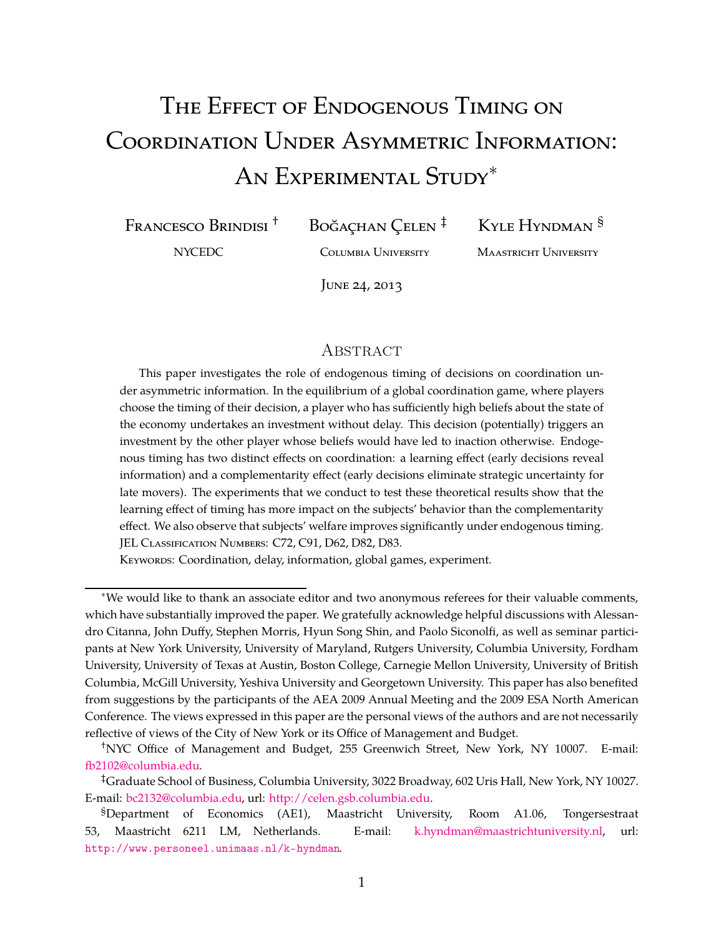# The Effect of Endogenous Timing on Coordination Under Asymmetric Information: An Experimental Study∗

Francesco Brindisi †

Boğaçhan Çelen ‡

NYCEDC

Columbia University

Kyle Hyndman §

Maastricht University

June 24, 2013

### **ABSTRACT**

This paper investigates the role of endogenous timing of decisions on coordination under asymmetric information. In the equilibrium of a global coordination game, where players choose the timing of their decision, a player who has sufficiently high beliefs about the state of the economy undertakes an investment without delay. This decision (potentially) triggers an investment by the other player whose beliefs would have led to inaction otherwise. Endogenous timing has two distinct effects on coordination: a learning effect (early decisions reveal information) and a complementarity effect (early decisions eliminate strategic uncertainty for late movers). The experiments that we conduct to test these theoretical results show that the learning effect of timing has more impact on the subjects' behavior than the complementarity effect. We also observe that subjects' welfare improves significantly under endogenous timing. JEL CLASSIFICATION NUMBERS: C72, C91, D62, D82, D83.

KEYWORDS: Coordination, delay, information, global games, experiment.

<sup>∗</sup>We would like to thank an associate editor and two anonymous referees for their valuable comments, which have substantially improved the paper. We gratefully acknowledge helpful discussions with Alessandro Citanna, John Duffy, Stephen Morris, Hyun Song Shin, and Paolo Siconolfi, as well as seminar participants at New York University, University of Maryland, Rutgers University, Columbia University, Fordham University, University of Texas at Austin, Boston College, Carnegie Mellon University, University of British Columbia, McGill University, Yeshiva University and Georgetown University. This paper has also benefited from suggestions by the participants of the AEA 2009 Annual Meeting and the 2009 ESA North American Conference. The views expressed in this paper are the personal views of the authors and are not necessarily reflective of views of the City of New York or its Office of Management and Budget.

<sup>†</sup>NYC Office of Management and Budget, 255 Greenwich Street, New York, NY 10007. E-mail: [fb2102@columbia.edu.](mailto:fb2102@columbia.edu)

<sup>‡</sup>Graduate School of Business, Columbia University, 3022 Broadway, 602 Uris Hall, New York, NY 10027. E-mail: [bc2132@columbia.edu,](mailto:bc2132@columbia.edu) url: [http://celen.gsb.columbia.edu.](http://celen.gsb.columbia.edu/)

<sup>§</sup>Department of Economics (AE1), Maastricht University, Room A1.06, Tongersestraat 53, Maastricht 6211 LM, Netherlands. E-mail: [k.hyndman@maastrichtuniversity.nl,](mailto:k.hyndman@maastrichtuniversity.nl) url: <http://www.personeel.unimaas.nl/k-hyndman>.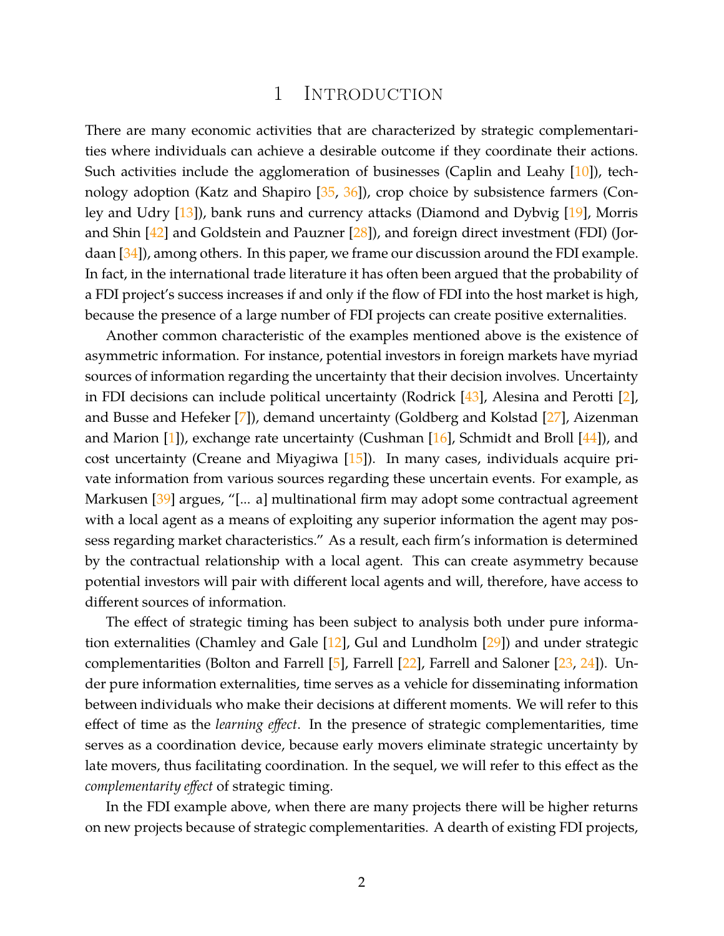# 1 Introduction

There are many economic activities that are characterized by strategic complementarities where individuals can achieve a desirable outcome if they coordinate their actions. Such activities include the agglomeration of businesses (Caplin and Leahy [\[10\]](#page-34-0)), technology adoption (Katz and Shapiro  $[35, 36]$  $[35, 36]$ ), crop choice by subsistence farmers (Conley and Udry [\[13\]](#page-35-0)), bank runs and currency attacks (Diamond and Dybvig [\[19\]](#page-35-1), Morris and Shin [\[42\]](#page-36-2) and Goldstein and Pauzner [\[28\]](#page-35-2)), and foreign direct investment (FDI) (Jordaan [\[34\]](#page-36-3)), among others. In this paper, we frame our discussion around the FDI example. In fact, in the international trade literature it has often been argued that the probability of a FDI project's success increases if and only if the flow of FDI into the host market is high, because the presence of a large number of FDI projects can create positive externalities.

Another common characteristic of the examples mentioned above is the existence of asymmetric information. For instance, potential investors in foreign markets have myriad sources of information regarding the uncertainty that their decision involves. Uncertainty in FDI decisions can include political uncertainty (Rodrick [\[43\]](#page-36-4), Alesina and Perotti [\[2\]](#page-34-1), and Busse and Hefeker [\[7\]](#page-34-2)), demand uncertainty (Goldberg and Kolstad [\[27\]](#page-35-3), Aizenman and Marion  $[1]$ ), exchange rate uncertainty (Cushman  $[16]$ , Schmidt and Broll  $[44]$ ), and cost uncertainty (Creane and Miyagiwa [\[15\]](#page-35-5)). In many cases, individuals acquire private information from various sources regarding these uncertain events. For example, as Markusen [\[39\]](#page-36-6) argues, "[... a] multinational firm may adopt some contractual agreement with a local agent as a means of exploiting any superior information the agent may possess regarding market characteristics." As a result, each firm's information is determined by the contractual relationship with a local agent. This can create asymmetry because potential investors will pair with different local agents and will, therefore, have access to different sources of information.

The effect of strategic timing has been subject to analysis both under pure information externalities (Chamley and Gale [\[12\]](#page-35-6), Gul and Lundholm [\[29\]](#page-35-7)) and under strategic complementarities (Bolton and Farrell  $[5]$ , Farrell  $[22]$ , Farrell and Saloner  $[23, 24]$  $[23, 24]$  $[23, 24]$ ). Under pure information externalities, time serves as a vehicle for disseminating information between individuals who make their decisions at different moments. We will refer to this effect of time as the *learning effect*. In the presence of strategic complementarities, time serves as a coordination device, because early movers eliminate strategic uncertainty by late movers, thus facilitating coordination. In the sequel, we will refer to this effect as the *complementarity effect* of strategic timing.

In the FDI example above, when there are many projects there will be higher returns on new projects because of strategic complementarities. A dearth of existing FDI projects,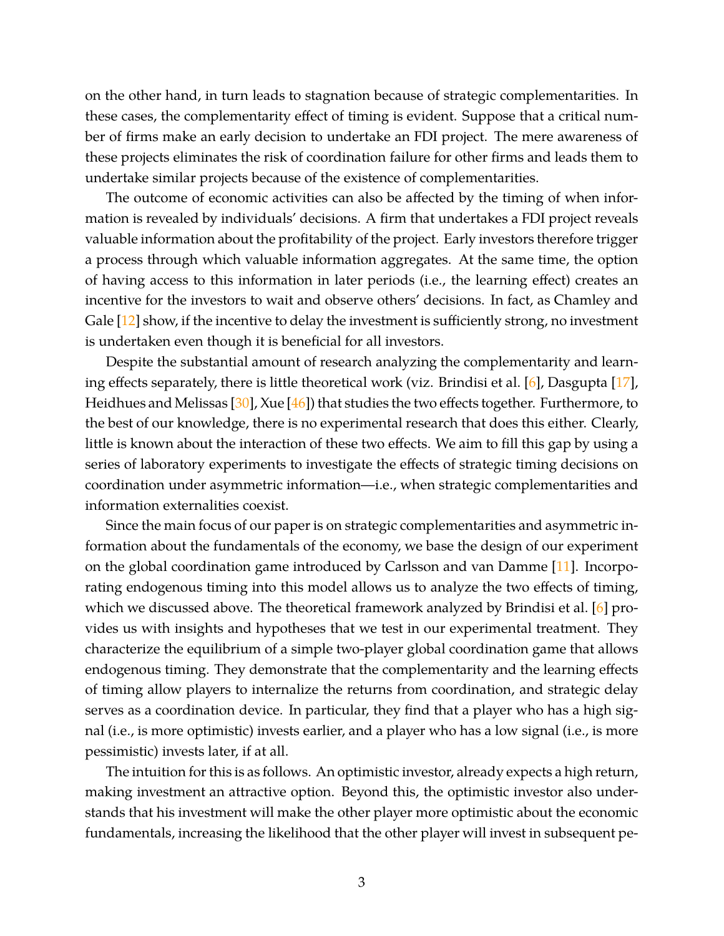on the other hand, in turn leads to stagnation because of strategic complementarities. In these cases, the complementarity effect of timing is evident. Suppose that a critical number of firms make an early decision to undertake an FDI project. The mere awareness of these projects eliminates the risk of coordination failure for other firms and leads them to undertake similar projects because of the existence of complementarities.

The outcome of economic activities can also be affected by the timing of when information is revealed by individuals' decisions. A firm that undertakes a FDI project reveals valuable information about the profitability of the project. Early investors therefore trigger a process through which valuable information aggregates. At the same time, the option of having access to this information in later periods (i.e., the learning effect) creates an incentive for the investors to wait and observe others' decisions. In fact, as Chamley and Gale [\[12\]](#page-35-6) show, if the incentive to delay the investment is sufficiently strong, no investment is undertaken even though it is beneficial for all investors.

Despite the substantial amount of research analyzing the complementarity and learning effects separately, there is little theoretical work (viz. Brindisi et al. [\[6\]](#page-34-5), Dasgupta [\[17\]](#page-35-11), Heidhues and Melissas [\[30\]](#page-35-12), Xue [\[46\]](#page-36-7)) that studies the two effects together. Furthermore, to the best of our knowledge, there is no experimental research that does this either. Clearly, little is known about the interaction of these two effects. We aim to fill this gap by using a series of laboratory experiments to investigate the effects of strategic timing decisions on coordination under asymmetric information—i.e., when strategic complementarities and information externalities coexist.

Since the main focus of our paper is on strategic complementarities and asymmetric information about the fundamentals of the economy, we base the design of our experiment on the global coordination game introduced by Carlsson and van Damme [\[11\]](#page-34-6). Incorporating endogenous timing into this model allows us to analyze the two effects of timing, which we discussed above. The theoretical framework analyzed by Brindisi et al. [\[6\]](#page-34-5) provides us with insights and hypotheses that we test in our experimental treatment. They characterize the equilibrium of a simple two-player global coordination game that allows endogenous timing. They demonstrate that the complementarity and the learning effects of timing allow players to internalize the returns from coordination, and strategic delay serves as a coordination device. In particular, they find that a player who has a high signal (i.e., is more optimistic) invests earlier, and a player who has a low signal (i.e., is more pessimistic) invests later, if at all.

The intuition for this is as follows. An optimistic investor, already expects a high return, making investment an attractive option. Beyond this, the optimistic investor also understands that his investment will make the other player more optimistic about the economic fundamentals, increasing the likelihood that the other player will invest in subsequent pe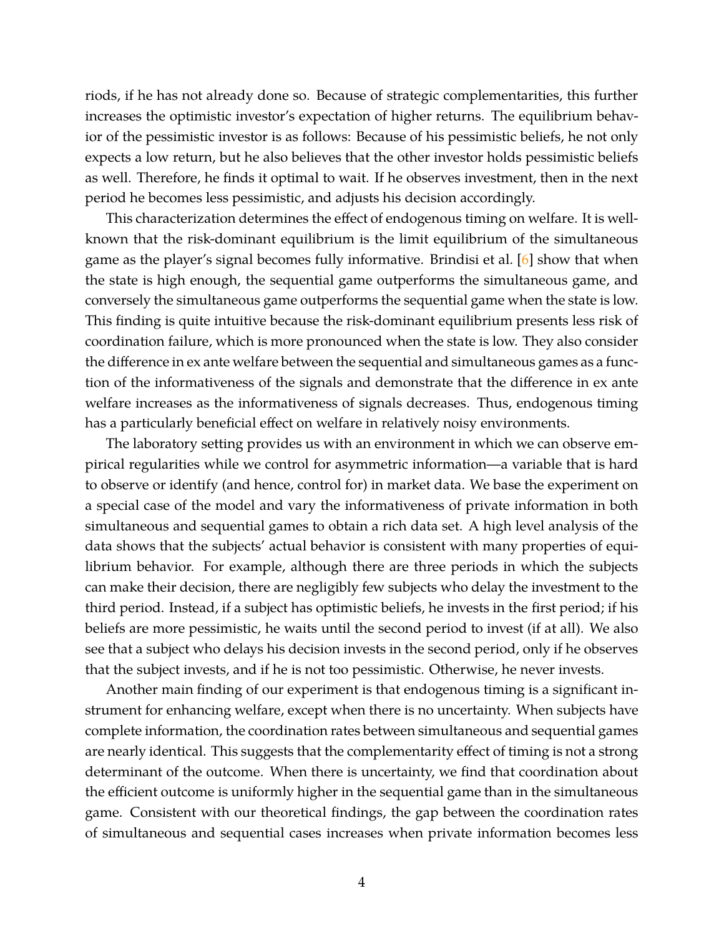riods, if he has not already done so. Because of strategic complementarities, this further increases the optimistic investor's expectation of higher returns. The equilibrium behavior of the pessimistic investor is as follows: Because of his pessimistic beliefs, he not only expects a low return, but he also believes that the other investor holds pessimistic beliefs as well. Therefore, he finds it optimal to wait. If he observes investment, then in the next period he becomes less pessimistic, and adjusts his decision accordingly.

This characterization determines the effect of endogenous timing on welfare. It is wellknown that the risk-dominant equilibrium is the limit equilibrium of the simultaneous game as the player's signal becomes fully informative. Brindisi et al. [\[6\]](#page-34-5) show that when the state is high enough, the sequential game outperforms the simultaneous game, and conversely the simultaneous game outperforms the sequential game when the state is low. This finding is quite intuitive because the risk-dominant equilibrium presents less risk of coordination failure, which is more pronounced when the state is low. They also consider the difference in ex ante welfare between the sequential and simultaneous games as a function of the informativeness of the signals and demonstrate that the difference in ex ante welfare increases as the informativeness of signals decreases. Thus, endogenous timing has a particularly beneficial effect on welfare in relatively noisy environments.

The laboratory setting provides us with an environment in which we can observe empirical regularities while we control for asymmetric information—a variable that is hard to observe or identify (and hence, control for) in market data. We base the experiment on a special case of the model and vary the informativeness of private information in both simultaneous and sequential games to obtain a rich data set. A high level analysis of the data shows that the subjects' actual behavior is consistent with many properties of equilibrium behavior. For example, although there are three periods in which the subjects can make their decision, there are negligibly few subjects who delay the investment to the third period. Instead, if a subject has optimistic beliefs, he invests in the first period; if his beliefs are more pessimistic, he waits until the second period to invest (if at all). We also see that a subject who delays his decision invests in the second period, only if he observes that the subject invests, and if he is not too pessimistic. Otherwise, he never invests.

Another main finding of our experiment is that endogenous timing is a significant instrument for enhancing welfare, except when there is no uncertainty. When subjects have complete information, the coordination rates between simultaneous and sequential games are nearly identical. This suggests that the complementarity effect of timing is not a strong determinant of the outcome. When there is uncertainty, we find that coordination about the efficient outcome is uniformly higher in the sequential game than in the simultaneous game. Consistent with our theoretical findings, the gap between the coordination rates of simultaneous and sequential cases increases when private information becomes less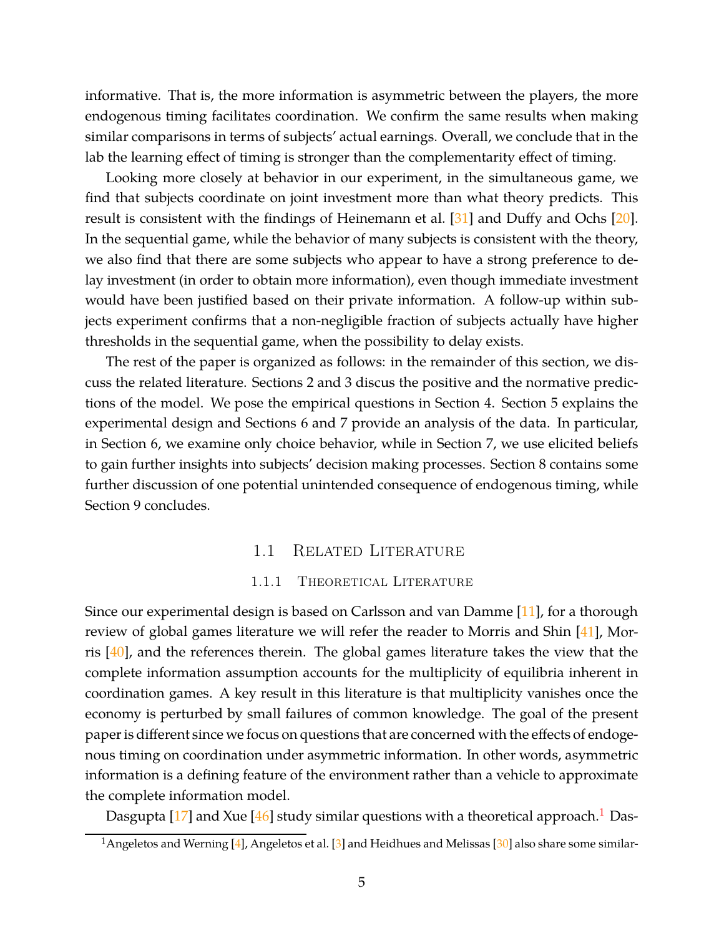informative. That is, the more information is asymmetric between the players, the more endogenous timing facilitates coordination. We confirm the same results when making similar comparisons in terms of subjects' actual earnings. Overall, we conclude that in the lab the learning effect of timing is stronger than the complementarity effect of timing.

Looking more closely at behavior in our experiment, in the simultaneous game, we find that subjects coordinate on joint investment more than what theory predicts. This result is consistent with the findings of Heinemann et al. [\[31\]](#page-36-8) and Duffy and Ochs [\[20\]](#page-35-13). In the sequential game, while the behavior of many subjects is consistent with the theory, we also find that there are some subjects who appear to have a strong preference to delay investment (in order to obtain more information), even though immediate investment would have been justified based on their private information. A follow-up within subjects experiment confirms that a non-negligible fraction of subjects actually have higher thresholds in the sequential game, when the possibility to delay exists.

The rest of the paper is organized as follows: in the remainder of this section, we discuss the related literature. Sections 2 and 3 discus the positive and the normative predictions of the model. We pose the empirical questions in Section 4. Section 5 explains the experimental design and Sections 6 and 7 provide an analysis of the data. In particular, in Section 6, we examine only choice behavior, while in Section 7, we use elicited beliefs to gain further insights into subjects' decision making processes. Section 8 contains some further discussion of one potential unintended consequence of endogenous timing, while Section 9 concludes.

#### 1.1 Related Literature

### 1.1.1 THEORETICAL LITERATURE

Since our experimental design is based on Carlsson and van Damme [\[11\]](#page-34-6), for a thorough review of global games literature we will refer the reader to Morris and Shin [\[41\]](#page-36-9), Morris [\[40\]](#page-36-10), and the references therein. The global games literature takes the view that the complete information assumption accounts for the multiplicity of equilibria inherent in coordination games. A key result in this literature is that multiplicity vanishes once the economy is perturbed by small failures of common knowledge. The goal of the present paper is different since we focus on questions that are concerned with the effects of endogenous timing on coordination under asymmetric information. In other words, asymmetric information is a defining feature of the environment rather than a vehicle to approximate the complete information model.

Dasgupta  $[17]$  and Xue  $[46]$  study similar questions with a theoretical approach.<sup>1</sup> Das-

<sup>&</sup>lt;sup>1</sup> Angeletos and Werning [\[4\]](#page-34-7), Angeletos et al. [\[3\]](#page-34-8) and Heidhues and Melissas [\[30\]](#page-35-12) also share some similar-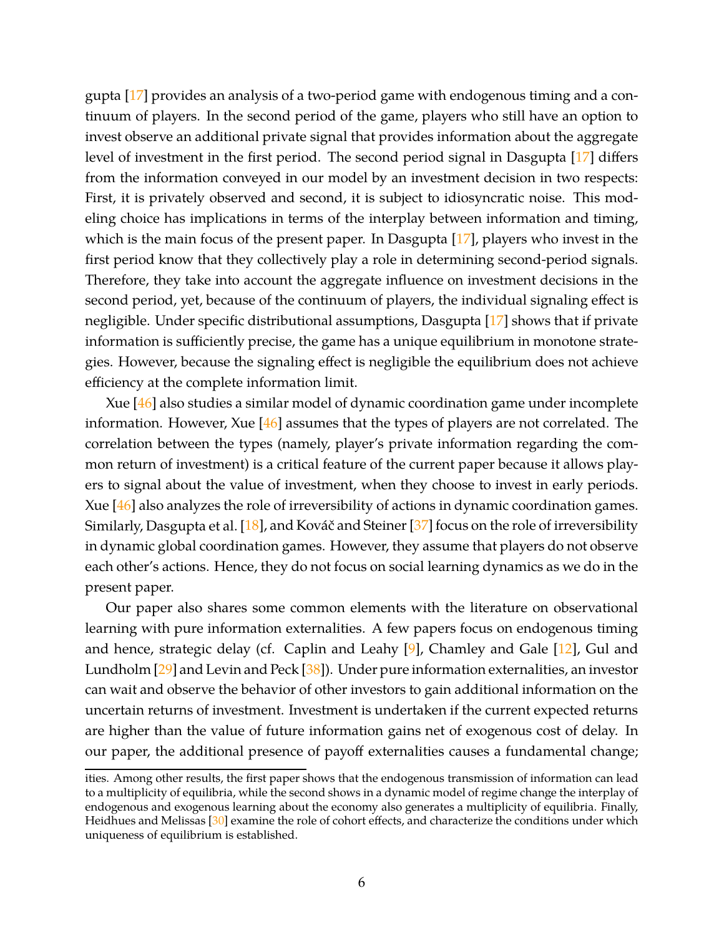gupta [\[17\]](#page-35-11) provides an analysis of a two-period game with endogenous timing and a continuum of players. In the second period of the game, players who still have an option to invest observe an additional private signal that provides information about the aggregate level of investment in the first period. The second period signal in Dasgupta [\[17\]](#page-35-11) differs from the information conveyed in our model by an investment decision in two respects: First, it is privately observed and second, it is subject to idiosyncratic noise. This modeling choice has implications in terms of the interplay between information and timing, which is the main focus of the present paper. In Dasgupta [\[17\]](#page-35-11), players who invest in the first period know that they collectively play a role in determining second-period signals. Therefore, they take into account the aggregate influence on investment decisions in the second period, yet, because of the continuum of players, the individual signaling effect is negligible. Under specific distributional assumptions, Dasgupta [\[17\]](#page-35-11) shows that if private information is sufficiently precise, the game has a unique equilibrium in monotone strategies. However, because the signaling effect is negligible the equilibrium does not achieve efficiency at the complete information limit.

Xue [\[46\]](#page-36-7) also studies a similar model of dynamic coordination game under incomplete information. However, Xue  $[46]$  assumes that the types of players are not correlated. The correlation between the types (namely, player's private information regarding the common return of investment) is a critical feature of the current paper because it allows players to signal about the value of investment, when they choose to invest in early periods. Xue [\[46\]](#page-36-7) also analyzes the role of irreversibility of actions in dynamic coordination games. Similarly, Dasgupta et al. [\[18\]](#page-35-14), and Kováč and Steiner [\[37\]](#page-36-11) focus on the role of irreversibility in dynamic global coordination games. However, they assume that players do not observe each other's actions. Hence, they do not focus on social learning dynamics as we do in the present paper.

Our paper also shares some common elements with the literature on observational learning with pure information externalities. A few papers focus on endogenous timing and hence, strategic delay (cf. Caplin and Leahy  $[9]$ , Chamley and Gale  $[12]$ , Gul and Lundholm [\[29\]](#page-35-7) and Levin and Peck [\[38\]](#page-36-12)). Under pure information externalities, an investor can wait and observe the behavior of other investors to gain additional information on the uncertain returns of investment. Investment is undertaken if the current expected returns are higher than the value of future information gains net of exogenous cost of delay. In our paper, the additional presence of payoff externalities causes a fundamental change;

ities. Among other results, the first paper shows that the endogenous transmission of information can lead to a multiplicity of equilibria, while the second shows in a dynamic model of regime change the interplay of endogenous and exogenous learning about the economy also generates a multiplicity of equilibria. Finally, Heidhues and Melissas [\[30\]](#page-35-12) examine the role of cohort effects, and characterize the conditions under which uniqueness of equilibrium is established.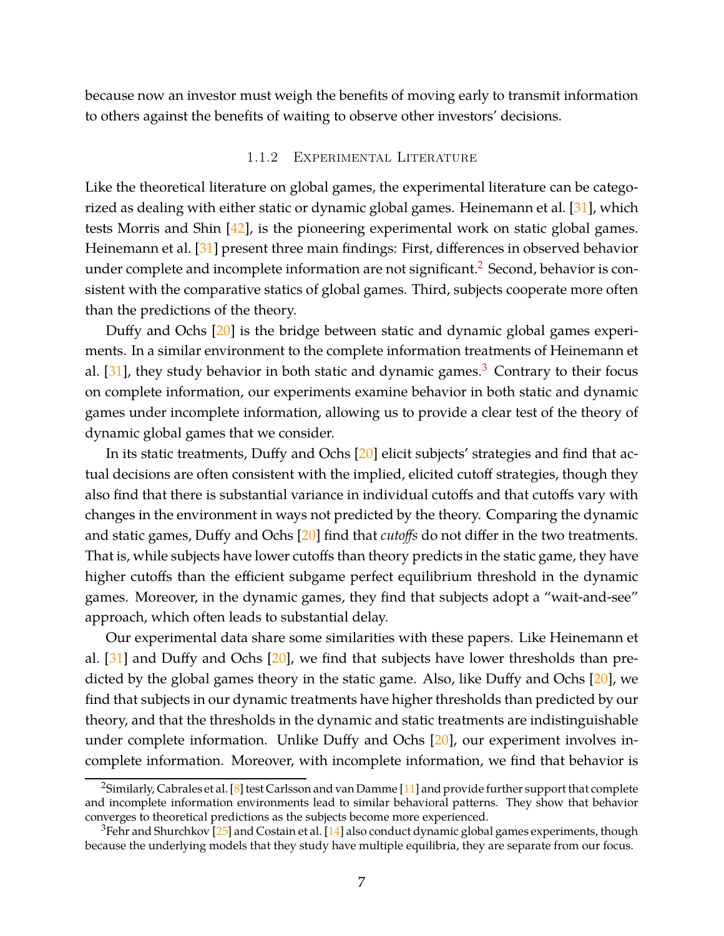because now an investor must weigh the benefits of moving early to transmit information to others against the benefits of waiting to observe other investors' decisions.

### 1.1.2 Experimental Literature

Like the theoretical literature on global games, the experimental literature can be categorized as dealing with either static or dynamic global games. Heinemann et al. [\[31\]](#page-36-8), which tests Morris and Shin [\[42\]](#page-36-2), is the pioneering experimental work on static global games. Heinemann et al. [\[31\]](#page-36-8) present three main findings: First, differences in observed behavior under complete and incomplete information are not significant.<sup>2</sup> Second, behavior is consistent with the comparative statics of global games. Third, subjects cooperate more often than the predictions of the theory.

Duffy and Ochs [\[20\]](#page-35-13) is the bridge between static and dynamic global games experiments. In a similar environment to the complete information treatments of Heinemann et al.  $[31]$ , they study behavior in both static and dynamic games.<sup>3</sup> Contrary to their focus on complete information, our experiments examine behavior in both static and dynamic games under incomplete information, allowing us to provide a clear test of the theory of dynamic global games that we consider.

In its static treatments, Duffy and Ochs [\[20\]](#page-35-13) elicit subjects' strategies and find that actual decisions are often consistent with the implied, elicited cutoff strategies, though they also find that there is substantial variance in individual cutoffs and that cutoffs vary with changes in the environment in ways not predicted by the theory. Comparing the dynamic and static games, Duffy and Ochs [\[20\]](#page-35-13) find that *cutoffs* do not differ in the two treatments. That is, while subjects have lower cutoffs than theory predicts in the static game, they have higher cutoffs than the efficient subgame perfect equilibrium threshold in the dynamic games. Moreover, in the dynamic games, they find that subjects adopt a "wait-and-see" approach, which often leads to substantial delay.

Our experimental data share some similarities with these papers. Like Heinemann et al. [\[31\]](#page-36-8) and Duffy and Ochs [\[20\]](#page-35-13), we find that subjects have lower thresholds than predicted by the global games theory in the static game. Also, like Duffy and Ochs [\[20\]](#page-35-13), we find that subjects in our dynamic treatments have higher thresholds than predicted by our theory, and that the thresholds in the dynamic and static treatments are indistinguishable under complete information. Unlike Duffy and Ochs [\[20\]](#page-35-13), our experiment involves incomplete information. Moreover, with incomplete information, we find that behavior is

<sup>&</sup>lt;sup>2</sup>Similarly, Cabrales et al. [\[8\]](#page-34-10) test Carlsson and van Damme [\[11\]](#page-34-6) and provide further support that complete and incomplete information environments lead to similar behavioral patterns. They show that behavior converges to theoretical predictions as the subjects become more experienced.

 $3$ Fehr and Shurchkov [\[25\]](#page-35-15) and Costain et al. [\[14\]](#page-35-16) also conduct dynamic global games experiments, though because the underlying models that they study have multiple equilibria, they are separate from our focus.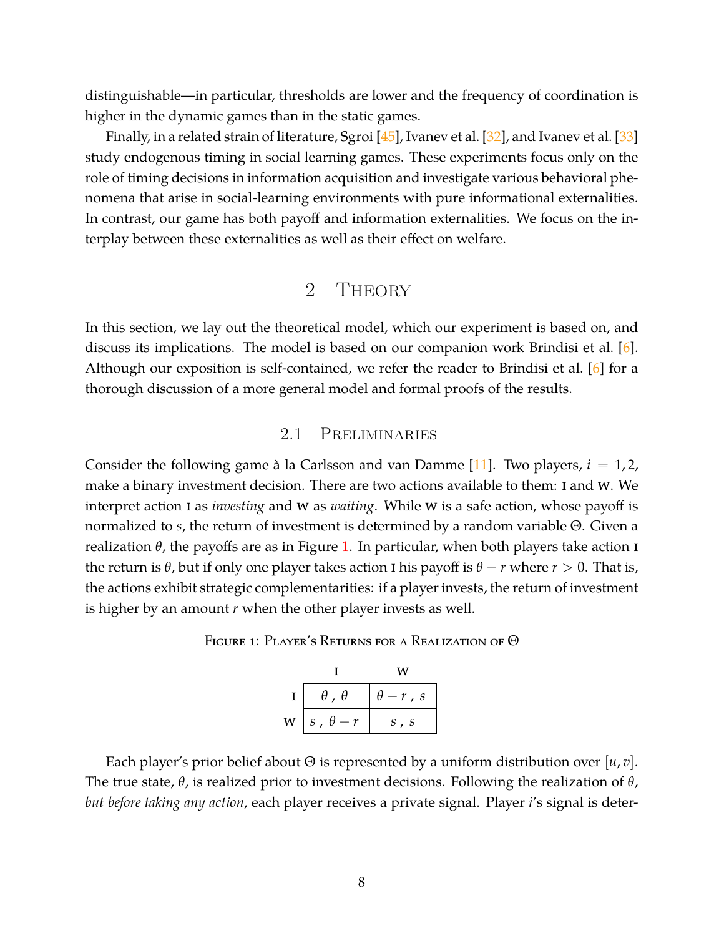distinguishable—in particular, thresholds are lower and the frequency of coordination is higher in the dynamic games than in the static games.

Finally, in a related strain of literature, Sgroi  $[45]$ , Ivanev et al.  $[32]$ , and Ivanev et al.  $[33]$ study endogenous timing in social learning games. These experiments focus only on the role of timing decisions in information acquisition and investigate various behavioral phenomena that arise in social-learning environments with pure informational externalities. In contrast, our game has both payoff and information externalities. We focus on the interplay between these externalities as well as their effect on welfare.

# 2 Theory

In this section, we lay out the theoretical model, which our experiment is based on, and discuss its implications. The model is based on our companion work Brindisi et al. [\[6\]](#page-34-5). Although our exposition is self-contained, we refer the reader to Brindisi et al. [\[6\]](#page-34-5) for a thorough discussion of a more general model and formal proofs of the results.

### 2.1 Preliminaries

Consider the following game à la Carlsson and van Damme  $[11]$ . Two players,  $i = 1, 2,$ make a binary investment decision. There are two actions available to them: I and W. We interpret action I as *investing* and W as *waiting*. While W is a safe action, whose payoff is normalized to *s*, the return of investment is determined by a random variable Θ. Given a realization  $θ$ , the payoffs are as in Figure [1.](#page-7-0) In particular, when both players take action **I** the return is  $\theta$ , but if only one player takes action I his payoff is  $\theta - r$  where  $r > 0$ . That is, the actions exhibit strategic complementarities: if a player invests, the return of investment is higher by an amount *r* when the other player invests as well.

<span id="page-7-0"></span>

|   | $\theta$ , $\theta$ | $\theta-r$ , s |
|---|---------------------|----------------|
| W | $s$ , $\theta-r$    | S, S           |

Each player's prior belief about Θ is represented by a uniform distribution over [*u*, *v*]. The true state, *θ*, is realized prior to investment decisions. Following the realization of *θ*, *but before taking any action*, each player receives a private signal. Player *i*'s signal is deter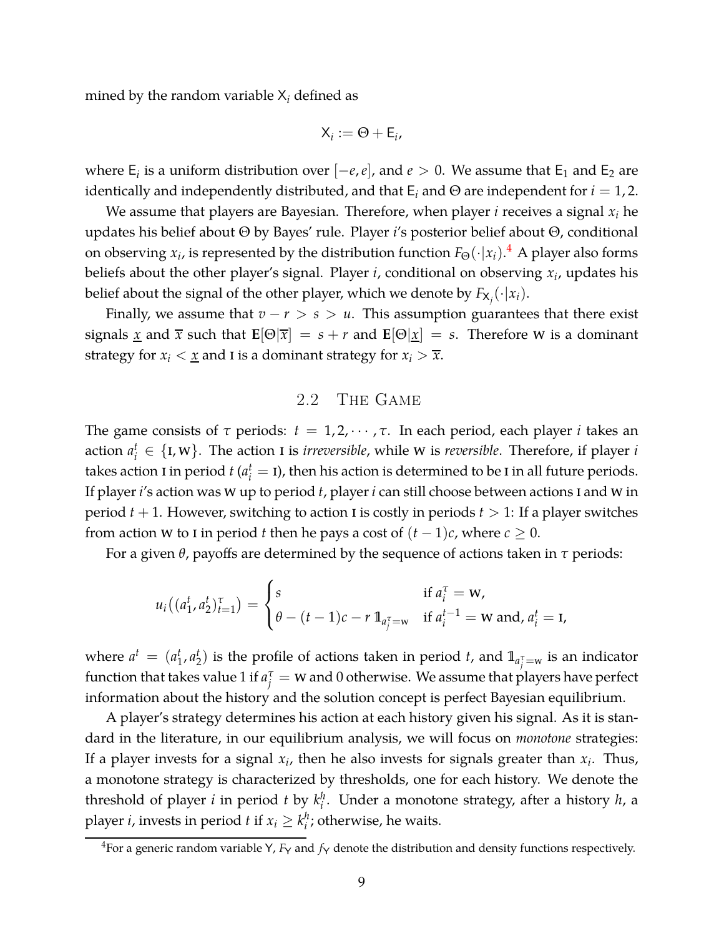mined by the random variable X*<sup>i</sup>* defined as

$$
X_i := \Theta + \mathsf{E}_i,
$$

where  $E_i$  is a uniform distribution over  $[-e,e]$ , and  $e > 0$ . We assume that  $E_1$  and  $E_2$  are identically and independently distributed, and that  $E_i$  and  $\Theta$  are independent for  $i = 1, 2$ .

We assume that players are Bayesian. Therefore, when player *i* receives a signal *x<sup>i</sup>* he updates his belief about Θ by Bayes' rule. Player *i*'s posterior belief about Θ, conditional on observing  $x_i$ , is represented by the distribution function  $F_{\Theta}(\cdot|x_i)$ .<sup>4</sup> A player also forms beliefs about the other player's signal. Player *i*, conditional on observing *x<sup>i</sup>* , updates his belief about the signal of the other player, which we denote by  $F_{\mathsf{X}_j}(\cdot|x_i).$ 

Finally, we assume that  $v - r > s > u$ . This assumption guarantees that there exist signals <u>x</u> and  $\bar{x}$  such that  $\mathbf{E}[\Theta|\bar{x}] = s + r$  and  $\mathbf{E}[\Theta|\underline{x}] = s$ . Therefore w is a dominant strategy for  $x_i < \underline{x}$  and I is a dominant strategy for  $x_i > \overline{x}$ .

### 2.2 The Game

The game consists of *τ* periods: *t* = 1, 2, · · · , *τ*. In each period, each player *i* takes an action  $a_i^t \in \{I, W\}$ . The action I is *irreversible*, while W is *reversible*. Therefore, if player *i* takes action I in period  $t$  ( $a_i^t =$  I), then his action is determined to be I in all future periods. If player*i*'s action was w up to period *t*, player*i* can still choose between actions i and w in period  $t + 1$ . However, switching to action I is costly in periods  $t > 1$ : If a player switches from action w to I in period *t* then he pays a cost of  $(t-1)c$ , where  $c \geq 0$ .

For a given *θ*, payoffs are determined by the sequence of actions taken in *τ* periods:

$$
u_i((a_1^t, a_2^t)_{t=1}^{\tau}) = \begin{cases} s & \text{if } a_i^{\tau} = w, \\ \theta - (t-1)c - r 1_{a_j^{\tau} = w} & \text{if } a_i^{t-1} = w \text{ and, } a_i^t = 1, \end{cases}
$$

where  $a^t = (a_1^t)$  $i_1$ ,  $a_2^t$  $\mathbf{Z}_{2}^{t}$ ) is the profile of actions taken in period  $t$ , and  $\mathbb{1}_{a_{\tilde{j}}^{\tau}=\text{w}}$  is an indicator function that takes value 1 if  $a_j^{\tau} = w$  and 0 otherwise. We assume that players have perfect information about the history and the solution concept is perfect Bayesian equilibrium.

A player's strategy determines his action at each history given his signal. As it is standard in the literature, in our equilibrium analysis, we will focus on *monotone* strategies: If a player invests for a signal  $x_i$ , then he also invests for signals greater than  $x_i$ . Thus, a monotone strategy is characterized by thresholds, one for each history. We denote the threshold of player *i* in period *t* by  $k_i^h$ *i* . Under a monotone strategy, after a history *h*, a player *i*, invests in period *t* if  $x_i \geq k_i^h$  $i$ ; otherwise, he waits.

<sup>&</sup>lt;sup>4</sup>For a generic random variable Y,  $F_Y$  and  $f_Y$  denote the distribution and density functions respectively.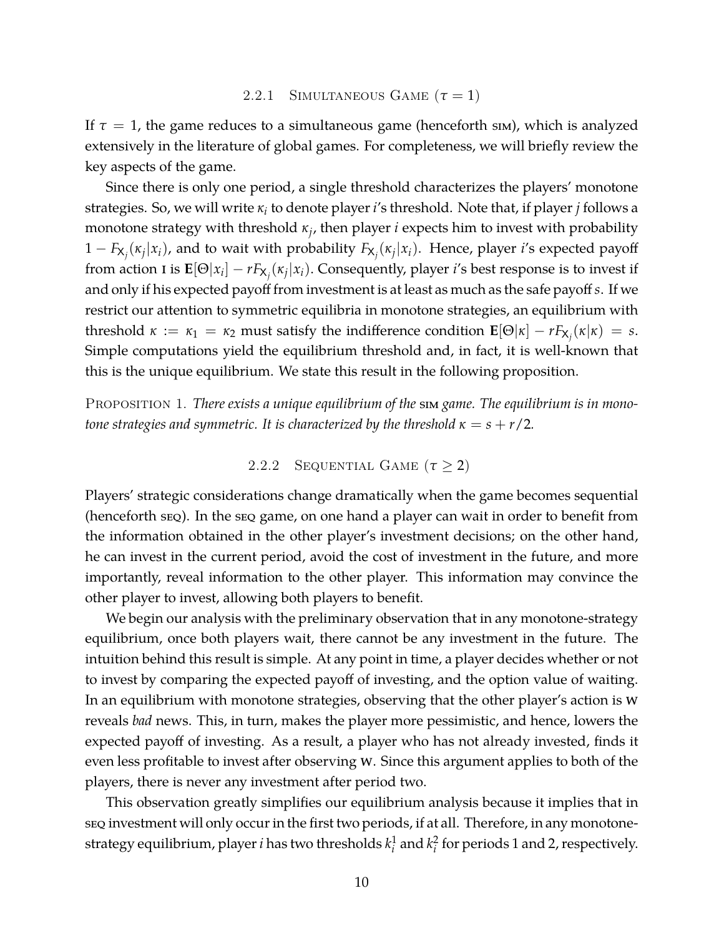#### 2.2.1 SIMULTANEOUS GAME  $(\tau = 1)$

If  $\tau = 1$ , the game reduces to a simultaneous game (henceforth sim), which is analyzed extensively in the literature of global games. For completeness, we will briefly review the key aspects of the game.

Since there is only one period, a single threshold characterizes the players' monotone strategies. So, we will write *κ<sup>i</sup>* to denote player*i*'s threshold. Note that, if player *j* follows a monotone strategy with threshold *κ<sup>j</sup>* , then player *i* expects him to invest with probability 1 − *F*X*<sup>j</sup>* (*κj* |*xi*), and to wait with probability *F*X*<sup>j</sup>* (*κj* |*xi*). Hence, player *i*'s expected payoff from action I is  $\mathbf{E}[\Theta|x_i] - rF_{\mathsf{X}_j}(\kappa_j|x_i)$ . Consequently, player *i*'s best response is to invest if and only if his expected payoff from investment is at least as much as the safe payoff *s*. If we restrict our attention to symmetric equilibria in monotone strategies, an equilibrium with threshold  $\kappa := \kappa_1 = \kappa_2$  must satisfy the indifference condition  $\mathbf{E}[\Theta|\kappa] - rF_{\mathsf{X}_j}(\kappa|\kappa) = s$ . Simple computations yield the equilibrium threshold and, in fact, it is well-known that this is the unique equilibrium. We state this result in the following proposition.

PROPOSITION 1. *There exists a unique equilibrium of the* sim *game. The equilibrium is in monotone strategies and symmetric. It is characterized by the threshold*  $\kappa = s + r/2$ .

2.2.2 SEQUENTIAL GAME  $(\tau \geq 2)$ 

Players' strategic considerations change dramatically when the game becomes sequential (henceforth seq). In the seq game, on one hand a player can wait in order to benefit from the information obtained in the other player's investment decisions; on the other hand, he can invest in the current period, avoid the cost of investment in the future, and more importantly, reveal information to the other player. This information may convince the other player to invest, allowing both players to benefit.

We begin our analysis with the preliminary observation that in any monotone-strategy equilibrium, once both players wait, there cannot be any investment in the future. The intuition behind this result is simple. At any point in time, a player decides whether or not to invest by comparing the expected payoff of investing, and the option value of waiting. In an equilibrium with monotone strategies, observing that the other player's action is w reveals *bad* news. This, in turn, makes the player more pessimistic, and hence, lowers the expected payoff of investing. As a result, a player who has not already invested, finds it even less profitable to invest after observing w. Since this argument applies to both of the players, there is never any investment after period two.

This observation greatly simplifies our equilibrium analysis because it implies that in seq investment will only occur in the first two periods, if at all. Therefore, in any monotonestrategy equilibrium, player*i* has two thresholds *k* 1  $\frac{1}{i}$  and  $k_i^2$  $\frac{2}{i}$  for periods 1 and 2, respectively.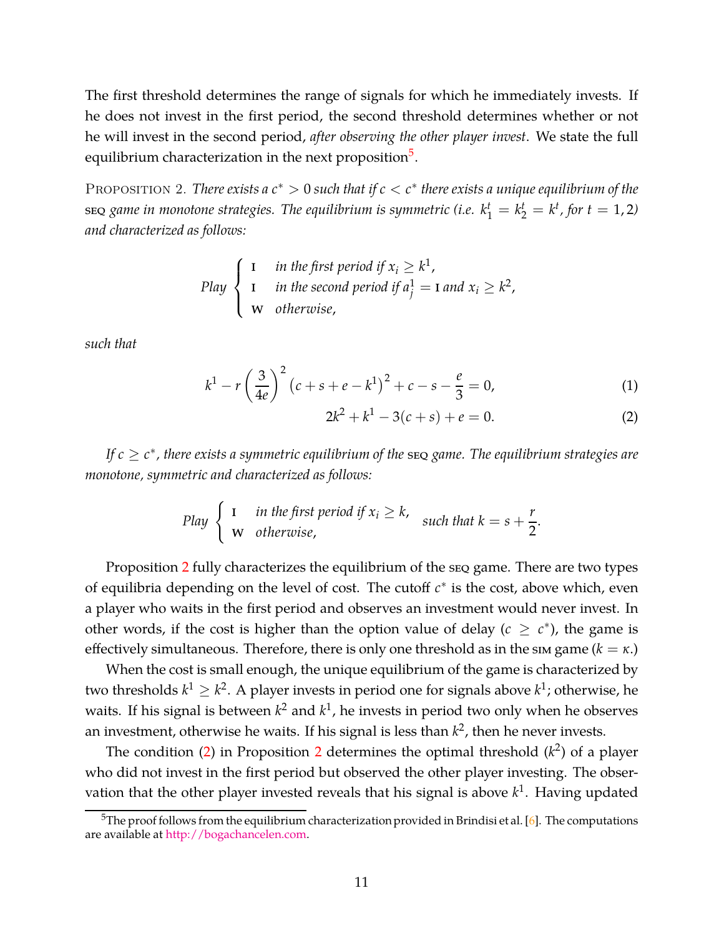The first threshold determines the range of signals for which he immediately invests. If he does not invest in the first period, the second threshold determines whether or not he will invest in the second period, *after observing the other player invest*. We state the full equilibrium characterization in the next proposition<sup>5</sup>.

<span id="page-10-0"></span>PROPOSITION 2. *There exists a*  $c^* > 0$  *such that if*  $c < c^*$  *there exists a unique equilibrium of the*  $\epsilon$  seq *game in monotone strategies. The equilibrium is symmetric (i.e.*  $k_1^t = k_2^t = k^t$ *, for*  $t = 1, 2$ *) and characterized as follows:*

*Play* 
$$
\begin{cases} \n1 & \text{in the first period if } x_i \geq k^1, \\ \n1 & \text{in the second period if } a_j^1 = 1 \text{ and } x_i \geq k^2, \\ \n\text{w} & \text{otherwise,} \n\end{cases}
$$

*such that*

<span id="page-10-1"></span>
$$
k^{1} - r\left(\frac{3}{4e}\right)^{2} \left(c + s + e - k^{1}\right)^{2} + c - s - \frac{e}{3} = 0, \tag{1}
$$

$$
2k^2 + k^1 - 3(c + s) + e = 0.
$$
 (2)

*If c* ≥ *c* ∗ *, there exists a symmetric equilibrium of the* seq *game. The equilibrium strategies are monotone, symmetric and characterized as follows:*

*Play* 
$$
\begin{cases} I & \text{in the first period if } x_i \ge k, \\ w & \text{otherwise,} \end{cases} \text{ such that } k = s + \frac{r}{2}.
$$

Proposition [2](#page-10-0) fully characterizes the equilibrium of the seq game. There are two types of equilibria depending on the level of cost. The cutoff *c*<sup>∗</sup> is the cost, above which, even a player who waits in the first period and observes an investment would never invest. In other words, if the cost is higher than the option value of delay ( $c \geq c^*$ ), the game is effectively simultaneous. Therefore, there is only one threshold as in the sim game  $(k = \kappa)$ 

When the cost is small enough, the unique equilibrium of the game is characterized by two thresholds  $k^1 \geq k^2$ . A player invests in period one for signals above  $k^1$ ; otherwise, he waits. If his signal is between  $k^2$  and  $k^1$ , he invests in period two only when he observes an investment, otherwise he waits. If his signal is less than  $k^2$ , then he never invests.

The condition [\(2\)](#page-10-1) in Proposition [2](#page-10-0) determines the optimal threshold  $(k^2)$  of a player who did not invest in the first period but observed the other player investing. The observation that the other player invested reveals that his signal is above *k* 1 . Having updated

 $5$ The proof follows from the equilibrium characterization provided in Brindisi et al. [\[6\]](#page-34-5). The computations are available at [http://bogachancelen.com.](http://bogachancelen.com/)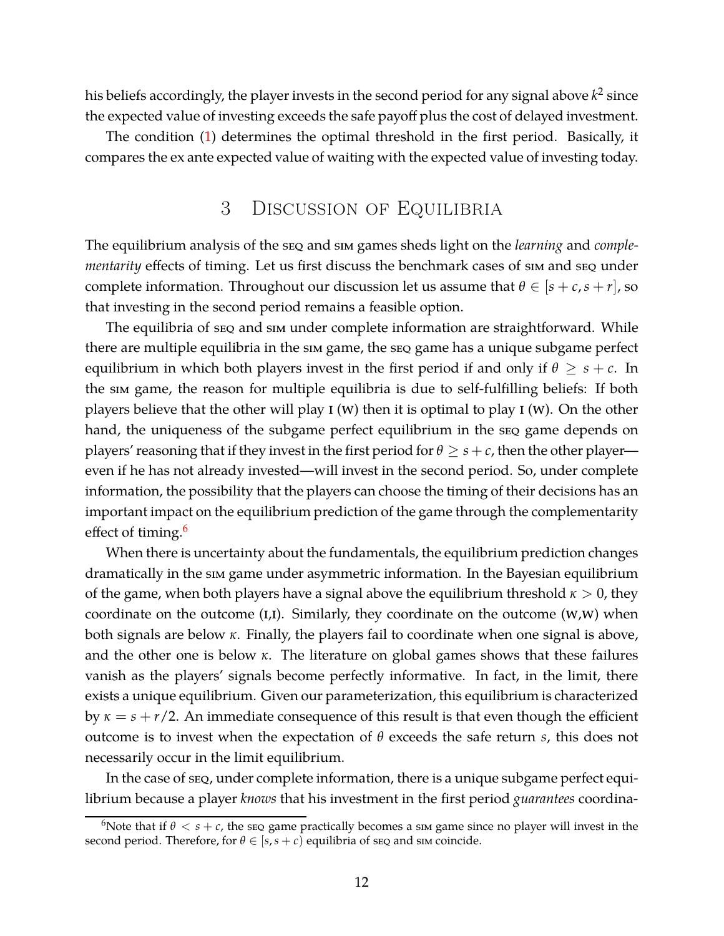his beliefs accordingly, the player invests in the second period for any signal above  $k^2$  since the expected value of investing exceeds the safe payoff plus the cost of delayed investment.

The condition [\(1\)](#page-10-1) determines the optimal threshold in the first period. Basically, it compares the ex ante expected value of waiting with the expected value of investing today.

# 3 Discussion of Equilibria

The equilibrium analysis of the seq and sim games sheds light on the *learning* and *complementarity* effects of timing. Let us first discuss the benchmark cases of sim and seq under complete information. Throughout our discussion let us assume that  $\theta \in [s + c, s + r]$ , so that investing in the second period remains a feasible option.

The equilibria of seq and sim under complete information are straightforward. While there are multiple equilibria in the sim game, the seq game has a unique subgame perfect equilibrium in which both players invest in the first period if and only if  $\theta \geq s + c$ . In the sim game, the reason for multiple equilibria is due to self-fulfilling beliefs: If both players believe that the other will play  $I(W)$  then it is optimal to play  $I(W)$ . On the other hand, the uniqueness of the subgame perfect equilibrium in the seq game depends on players' reasoning that if they invest in the first period for  $\theta \geq s+c$ , then the other player even if he has not already invested—will invest in the second period. So, under complete information, the possibility that the players can choose the timing of their decisions has an important impact on the equilibrium prediction of the game through the complementarity effect of timing.<sup>6</sup>

When there is uncertainty about the fundamentals, the equilibrium prediction changes dramatically in the sim game under asymmetric information. In the Bayesian equilibrium of the game, when both players have a signal above the equilibrium threshold *κ* > 0, they coordinate on the outcome  $(I,I)$ . Similarly, they coordinate on the outcome  $(W,W)$  when both signals are below *κ*. Finally, the players fail to coordinate when one signal is above, and the other one is below *κ*. The literature on global games shows that these failures vanish as the players' signals become perfectly informative. In fact, in the limit, there exists a unique equilibrium. Given our parameterization, this equilibrium is characterized by  $\kappa = s + r/2$ . An immediate consequence of this result is that even though the efficient outcome is to invest when the expectation of *θ* exceeds the safe return *s*, this does not necessarily occur in the limit equilibrium.

In the case of seq, under complete information, there is a unique subgame perfect equilibrium because a player *knows* that his investment in the first period *guarantees* coordina-

<sup>&</sup>lt;sup>6</sup>Note that if  $\theta < s + c$ , the seq game practically becomes a sim game since no player will invest in the second period. Therefore, for  $θ ∈ [s, s + c)$  equilibria of seq and sim coincide.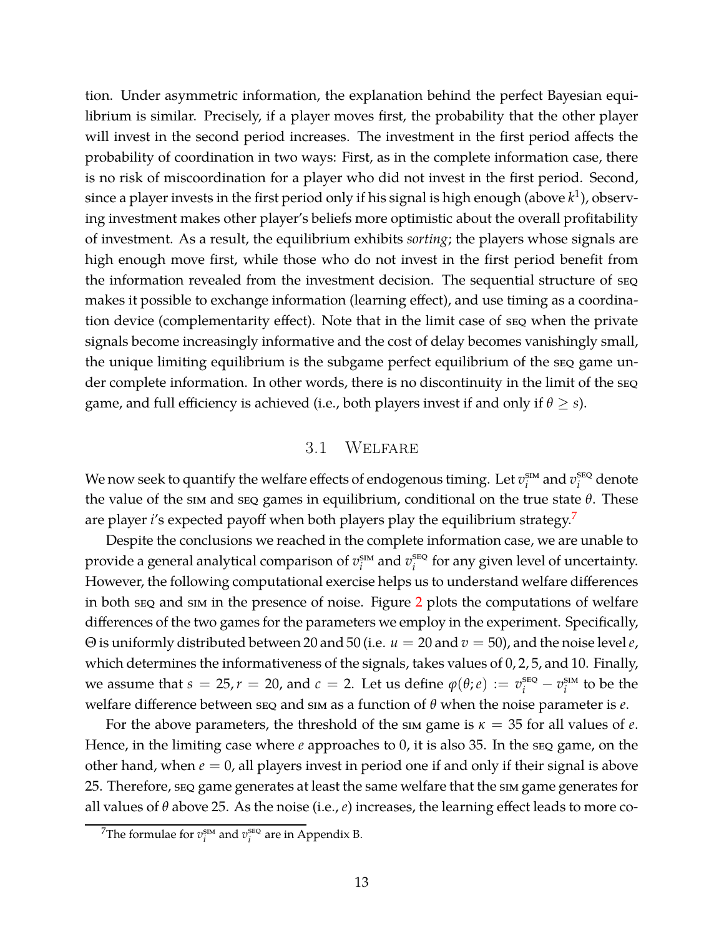tion. Under asymmetric information, the explanation behind the perfect Bayesian equilibrium is similar. Precisely, if a player moves first, the probability that the other player will invest in the second period increases. The investment in the first period affects the probability of coordination in two ways: First, as in the complete information case, there is no risk of miscoordination for a player who did not invest in the first period. Second, since a player invests in the first period only if his signal is high enough (above  $k^1$ ), observing investment makes other player's beliefs more optimistic about the overall profitability of investment. As a result, the equilibrium exhibits *sorting*; the players whose signals are high enough move first, while those who do not invest in the first period benefit from the information revealed from the investment decision. The sequential structure of seq makes it possible to exchange information (learning effect), and use timing as a coordination device (complementarity effect). Note that in the limit case of seq when the private signals become increasingly informative and the cost of delay becomes vanishingly small, the unique limiting equilibrium is the subgame perfect equilibrium of the seq game under complete information. In other words, there is no discontinuity in the limit of the seq game, and full efficiency is achieved (i.e., both players invest if and only if  $\theta \geq s$ ).

### 3.1 Welfare

We now seek to quantify the welfare effects of endogenous timing. Let  $v_i^{\text{sm}}$  $i$ <sup>sm</sup> and  $v_i^{\text{seq}}$ *i* denote the value of the sim and seq games in equilibrium, conditional on the true state *θ*. These are player *i*'s expected payoff when both players play the equilibrium strategy.<sup>7</sup>

Despite the conclusions we reached in the complete information case, we are unable to provide a general analytical comparison of *v* sim  $i$ <sup>sIM</sup> and  $v_i^{\text{SEQ}}$  $i$ <sup>seq</sup> for any given level of uncertainty. However, the following computational exercise helps us to understand welfare differences in both seq and sim in the presence of noise. Figure [2](#page-13-0) plots the computations of welfare differences of the two games for the parameters we employ in the experiment. Specifically, Θ is uniformly distributed between 20 and 50 (i.e. *u* = 20 and *v* = 50), and the noise level*e*, which determines the informativeness of the signals, takes values of 0, 2, 5, and 10. Finally, we assume that  $s = 25$ ,  $r = 20$ , and  $c = 2$ . Let us define  $\varphi(\theta; e) := v_i^{\text{sgn}} - v_i^{\text{sm}}$  $i^{\text{sim}}$  to be the welfare difference between seq and sim as a function of *θ* when the noise parameter is *e*.

For the above parameters, the threshold of the sim game is  $\kappa = 35$  for all values of *e*. Hence, in the limiting case where *e* approaches to 0, it is also 35. In the seq game, on the other hand, when  $e = 0$ , all players invest in period one if and only if their signal is above 25. Therefore, seq game generates at least the same welfare that the sim game generates for all values of *θ* above 25. As the noise (i.e., *e*) increases, the learning effect leads to more co-

<sup>&</sup>lt;sup>7</sup>The formulae for  $v_i^{\text{sim}}$  and  $v_i^{\text{seg}}$  $i$ <sup>seQ</sup> are in Appendix B.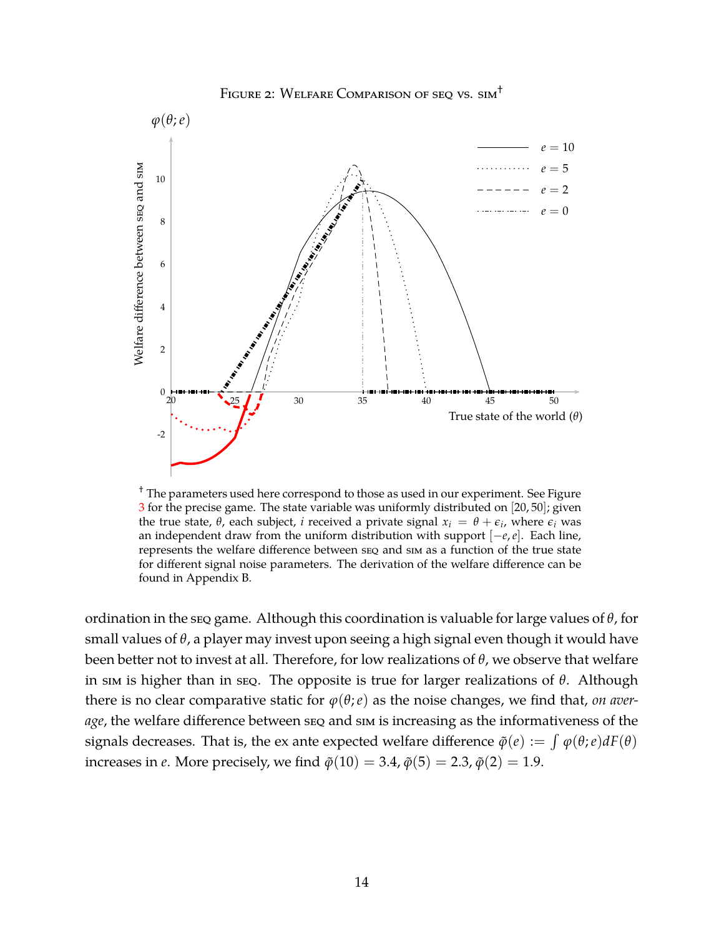<span id="page-13-0"></span>

FIGURE 2: WELFARE COMPARISON OF SEQ VS. SIM<sup>+</sup>

<sup>†</sup> The parameters used here correspond to those as used in our experiment. See Figure [3](#page-16-0) for the precise game. The state variable was uniformly distributed on [20, 50]; given the true state, *θ*, each subject, *i* received a private signal  $x_i = θ + ε_i$ , where  $ε_i$  was an independent draw from the uniform distribution with support [−*e*,*e*]. Each line, represents the welfare difference between seq and sim as a function of the true state for different signal noise parameters. The derivation of the welfare difference can be found in Appendix B.

ordination in the seq game. Although this coordination is valuable for large values of *θ*, for small values of *θ*, a player may invest upon seeing a high signal even though it would have been better not to invest at all. Therefore, for low realizations of *θ*, we observe that welfare in sim is higher than in seq. The opposite is true for larger realizations of *θ*. Although there is no clear comparative static for  $\varphi(\theta;e)$  as the noise changes, we find that, *on average*, the welfare difference between seq and sim is increasing as the informativeness of the signals decreases. That is, the ex ante expected welfare difference  $\tilde{\varphi}(e) := \int \varphi(\theta; e) dF(\theta)$ increases in *e*. More precisely, we find  $\tilde{\varphi}(10) = 3.4$ ,  $\tilde{\varphi}(5) = 2.3$ ,  $\tilde{\varphi}(2) = 1.9$ .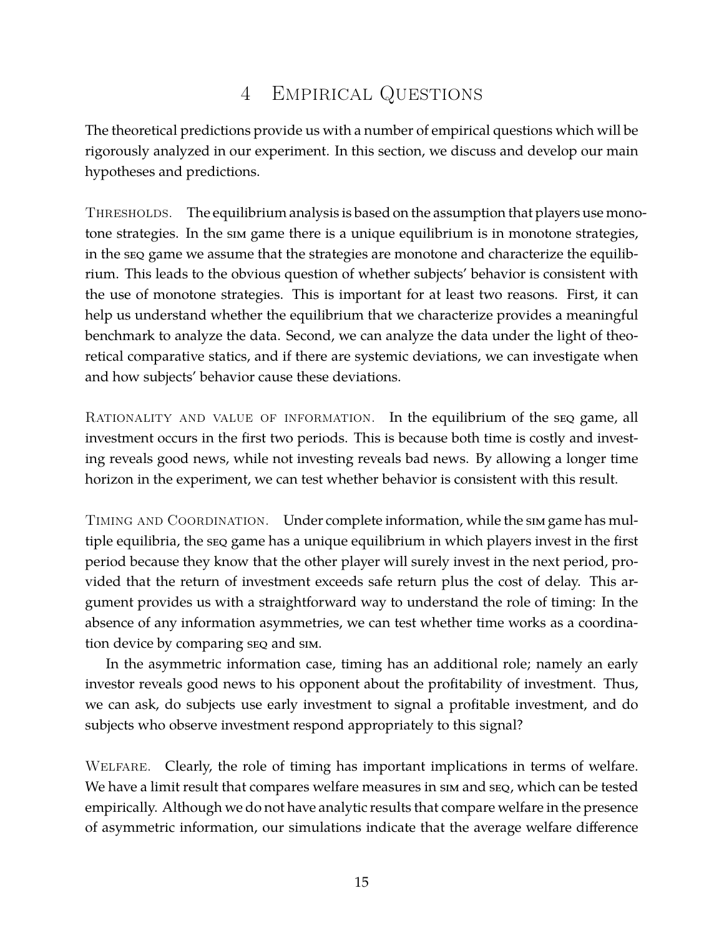# 4 Empirical Questions

The theoretical predictions provide us with a number of empirical questions which will be rigorously analyzed in our experiment. In this section, we discuss and develop our main hypotheses and predictions.

THRESHOLDS. The equilibrium analysis is based on the assumption that players use monotone strategies. In the sim game there is a unique equilibrium is in monotone strategies, in the seq game we assume that the strategies are monotone and characterize the equilibrium. This leads to the obvious question of whether subjects' behavior is consistent with the use of monotone strategies. This is important for at least two reasons. First, it can help us understand whether the equilibrium that we characterize provides a meaningful benchmark to analyze the data. Second, we can analyze the data under the light of theoretical comparative statics, and if there are systemic deviations, we can investigate when and how subjects' behavior cause these deviations.

RATIONALITY AND VALUE OF INFORMATION. In the equilibrium of the seq game, all investment occurs in the first two periods. This is because both time is costly and investing reveals good news, while not investing reveals bad news. By allowing a longer time horizon in the experiment, we can test whether behavior is consistent with this result.

TIMING AND COORDINATION. Under complete information, while the sim game has multiple equilibria, the seq game has a unique equilibrium in which players invest in the first period because they know that the other player will surely invest in the next period, provided that the return of investment exceeds safe return plus the cost of delay. This argument provides us with a straightforward way to understand the role of timing: In the absence of any information asymmetries, we can test whether time works as a coordination device by comparing seq and sim.

In the asymmetric information case, timing has an additional role; namely an early investor reveals good news to his opponent about the profitability of investment. Thus, we can ask, do subjects use early investment to signal a profitable investment, and do subjects who observe investment respond appropriately to this signal?

Welfare. Clearly, the role of timing has important implications in terms of welfare. We have a limit result that compares welfare measures in sim and seq, which can be tested empirically. Although we do not have analytic results that compare welfare in the presence of asymmetric information, our simulations indicate that the average welfare difference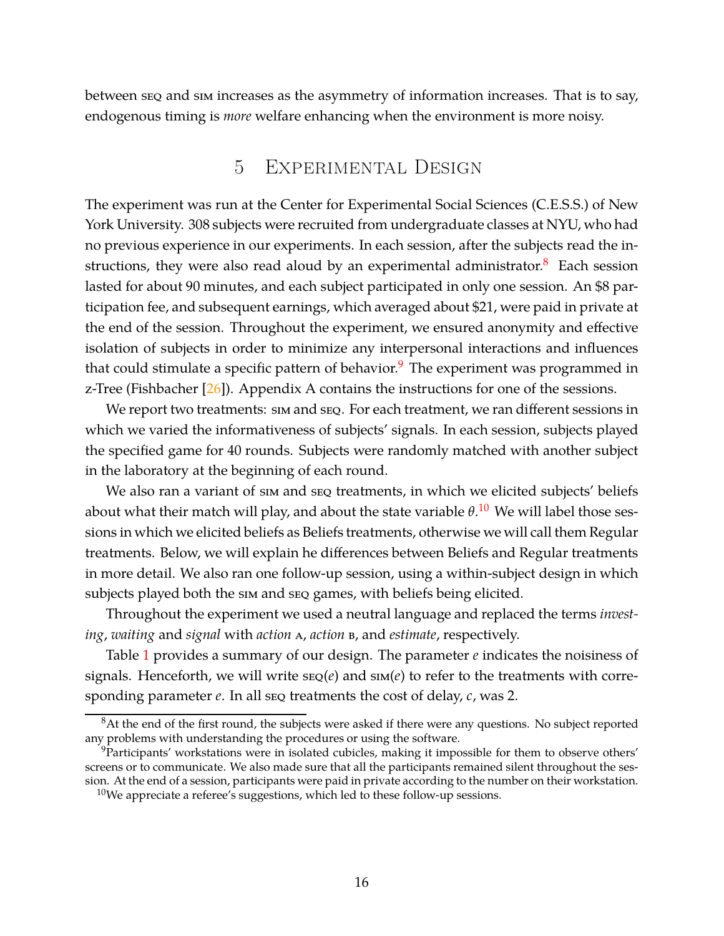<span id="page-15-0"></span>between seq and sim increases as the asymmetry of information increases. That is to say, endogenous timing is *more* welfare enhancing when the environment is more noisy.

# 5 Experimental Design

The experiment was run at the Center for Experimental Social Sciences (C.E.S.S.) of New York University. 308 subjects were recruited from undergraduate classes at NYU, who had no previous experience in our experiments. In each session, after the subjects read the instructions, they were also read aloud by an experimental administrator. $8$  Each session lasted for about 90 minutes, and each subject participated in only one session. An \$8 participation fee, and subsequent earnings, which averaged about \$21, were paid in private at the end of the session. Throughout the experiment, we ensured anonymity and effective isolation of subjects in order to minimize any interpersonal interactions and influences that could stimulate a specific pattern of behavior.<sup>9</sup> The experiment was programmed in z-Tree (Fishbacher  $[26]$ ). Appendix A contains the instructions for one of the sessions.

We report two treatments:  $\sin$  and  $\sec$ . For each treatment, we ran different sessions in which we varied the informativeness of subjects' signals. In each session, subjects played the specified game for 40 rounds. Subjects were randomly matched with another subject in the laboratory at the beginning of each round.

We also ran a variant of sim and seq treatments, in which we elicited subjects' beliefs about what their match will play, and about the state variable *θ*. <sup>10</sup> We will label those sessions in which we elicited beliefs as Beliefs treatments, otherwise we will call them Regular treatments. Below, we will explain he differences between Beliefs and Regular treatments in more detail. We also ran one follow-up session, using a within-subject design in which subjects played both the sim and seq games, with beliefs being elicited.

Throughout the experiment we used a neutral language and replaced the terms *investing*, *waiting* and *signal* with *action* a, *action* b, and *estimate*, respectively.

Table [1](#page-16-1) provides a summary of our design. The parameter *e* indicates the noisiness of signals. Henceforth, we will write  $\text{seq}(e)$  and  $\text{sm}(e)$  to refer to the treatments with corresponding parameter *e*. In all seq treatments the cost of delay, *c*, was 2.

<sup>&</sup>lt;sup>8</sup>At the end of the first round, the subjects were asked if there were any questions. No subject reported any problems with understanding the procedures or using the software.

<sup>&</sup>lt;sup>9</sup>Participants' workstations were in isolated cubicles, making it impossible for them to observe others' screens or to communicate. We also made sure that all the participants remained silent throughout the session. At the end of a session, participants were paid in private according to the number on their workstation.

 $10$ We appreciate a referee's suggestions, which led to these follow-up sessions.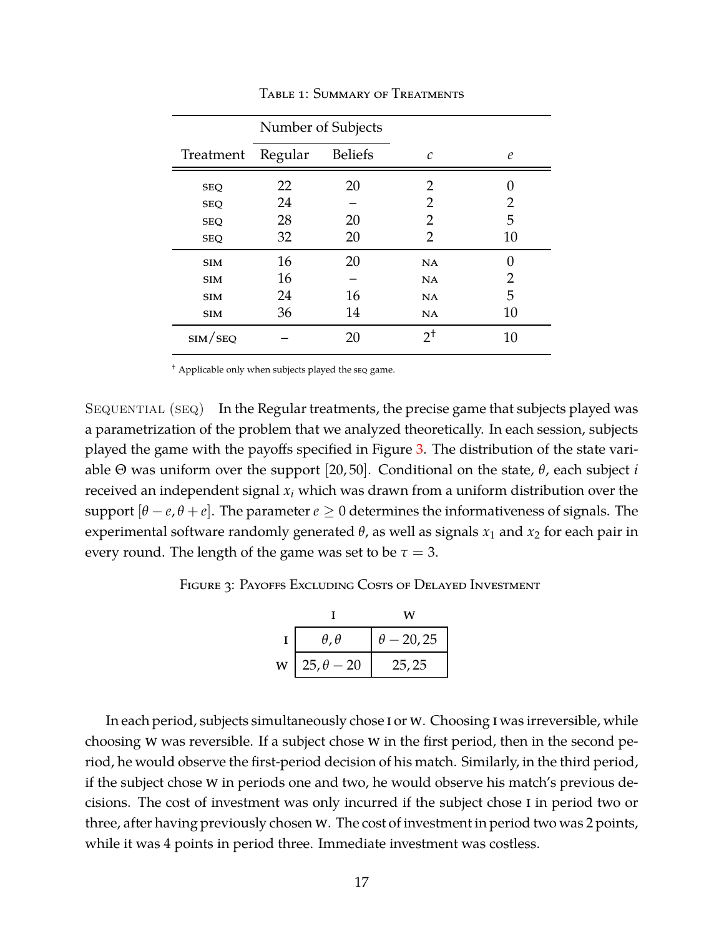<span id="page-16-1"></span>

|                         |         | Number of Subjects |               |                   |
|-------------------------|---------|--------------------|---------------|-------------------|
| Treatment               | Regular | <b>Beliefs</b>     | C             | $\epsilon$        |
| <b>SEQ</b>              | 22      | 20                 | 2             | $\mathbf{\Omega}$ |
| <b>SEQ</b>              | 24      |                    | 2             | 2                 |
| <b>SEQ</b>              | 28      | 20                 | 2             | 5                 |
| <b>SEQ</b>              | 32      | 20                 | 2             | 10                |
| <b>SIM</b>              | 16      | 20                 | NA            | 0                 |
| <b>SIM</b>              | 16      |                    | NA            | 2                 |
| <b>SIM</b>              | 24      | 16                 | NA            | 5                 |
| <b>SIM</b>              | 36      | 14                 | NA            | 10                |
| $\text{SIM}/\text{SEQ}$ |         | 20                 | $2^{\dagger}$ | 10                |

Table 1: Summary of Treatments

† Applicable only when subjects played the seq game.

SEQUENTIAL (SEQ) In the Regular treatments, the precise game that subjects played was a parametrization of the problem that we analyzed theoretically. In each session, subjects played the game with the payoffs specified in Figure [3.](#page-16-0) The distribution of the state variable Θ was uniform over the support [20, 50]. Conditional on the state, *θ*, each subject *i* received an independent signal *x<sup>i</sup>* which was drawn from a uniform distribution over the support  $[\theta - e, \theta + e]$ . The parameter  $e \ge 0$  determines the informativeness of signals. The experimental software randomly generated  $\theta$ , as well as signals  $x_1$  and  $x_2$  for each pair in every round. The length of the game was set to be  $\tau = 3$ .

<span id="page-16-0"></span>FIGURE 3: PAYOFFS EXCLUDING COSTS OF DELAYED INVESTMENT

|   |                     | w                 |
|---|---------------------|-------------------|
|   | $\theta$ , $\theta$ | $\theta$ – 20, 25 |
| W | $25, \theta - 20$   | 25, 25            |

In each period, subjects simultaneously chose i or w. Choosing i was irreversible, while choosing w was reversible. If a subject chose w in the first period, then in the second period, he would observe the first-period decision of his match. Similarly, in the third period, if the subject chose w in periods one and two, he would observe his match's previous decisions. The cost of investment was only incurred if the subject chose i in period two or three, after having previously chosen w. The cost of investment in period two was 2 points, while it was 4 points in period three. Immediate investment was costless.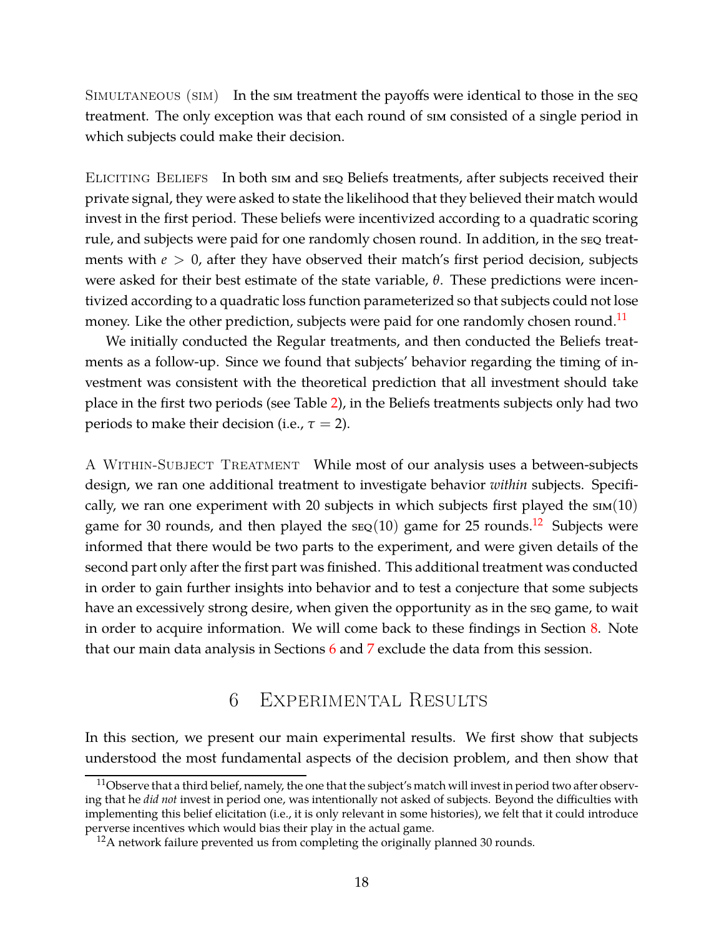SIMULTANEOUS (SIM) In the sim treatment the payoffs were identical to those in the seq treatment. The only exception was that each round of sim consisted of a single period in which subjects could make their decision.

ELICITING BELIEFS In both sim and seq Beliefs treatments, after subjects received their private signal, they were asked to state the likelihood that they believed their match would invest in the first period. These beliefs were incentivized according to a quadratic scoring rule, and subjects were paid for one randomly chosen round. In addition, in the seq treatments with  $e > 0$ , after they have observed their match's first period decision, subjects were asked for their best estimate of the state variable, *θ*. These predictions were incentivized according to a quadratic loss function parameterized so that subjects could not lose money. Like the other prediction, subjects were paid for one randomly chosen round.<sup>11</sup>

We initially conducted the Regular treatments, and then conducted the Beliefs treatments as a follow-up. Since we found that subjects' behavior regarding the timing of investment was consistent with the theoretical prediction that all investment should take place in the first two periods (see Table [2\)](#page-18-0), in the Beliefs treatments subjects only had two periods to make their decision (i.e.,  $\tau = 2$ ).

A WITHIN-SUBJECT TREATMENT While most of our analysis uses a between-subjects design, we ran one additional treatment to investigate behavior *within* subjects. Specifically, we ran one experiment with 20 subjects in which subjects first played the  $sim(10)$ game for 30 rounds, and then played the  $\text{seq}(10)$  game for 25 rounds.<sup>12</sup> Subjects were informed that there would be two parts to the experiment, and were given details of the second part only after the first part was finished. This additional treatment was conducted in order to gain further insights into behavior and to test a conjecture that some subjects have an excessively strong desire, when given the opportunity as in the seq game, to wait in order to acquire information. We will come back to these findings in Section [8.](#page-31-0) Note that our main data analysis in Sections [6](#page-17-0) and [7](#page-25-0) exclude the data from this session.

# 6 Experimental Results

<span id="page-17-0"></span>In this section, we present our main experimental results. We first show that subjects understood the most fundamental aspects of the decision problem, and then show that

 $11$ Observe that a third belief, namely, the one that the subject's match will invest in period two after observing that he *did not* invest in period one, was intentionally not asked of subjects. Beyond the difficulties with implementing this belief elicitation (i.e., it is only relevant in some histories), we felt that it could introduce perverse incentives which would bias their play in the actual game.

 $12A$  network failure prevented us from completing the originally planned 30 rounds.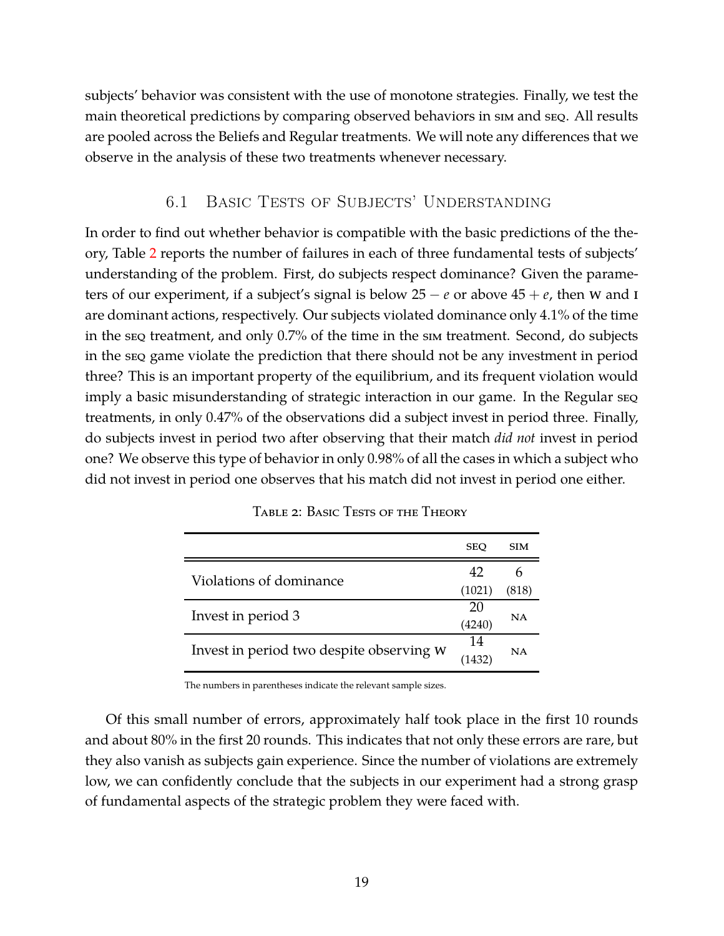subjects' behavior was consistent with the use of monotone strategies. Finally, we test the main theoretical predictions by comparing observed behaviors in sim and seq. All results are pooled across the Beliefs and Regular treatments. We will note any differences that we observe in the analysis of these two treatments whenever necessary.

### 6.1 Basic Tests of Subjects' Understanding

In order to find out whether behavior is compatible with the basic predictions of the theory, Table [2](#page-18-0) reports the number of failures in each of three fundamental tests of subjects' understanding of the problem. First, do subjects respect dominance? Given the parameters of our experiment, if a subject's signal is below  $25 - e$  or above  $45 + e$ , then w and I are dominant actions, respectively. Our subjects violated dominance only 4.1% of the time in the seq treatment, and only 0.7% of the time in the sim treatment. Second, do subjects in the seq game violate the prediction that there should not be any investment in period three? This is an important property of the equilibrium, and its frequent violation would imply a basic misunderstanding of strategic interaction in our game. In the Regular seq treatments, in only 0.47% of the observations did a subject invest in period three. Finally, do subjects invest in period two after observing that their match *did not* invest in period one? We observe this type of behavior in only 0.98% of all the cases in which a subject who did not invest in period one observes that his match did not invest in period one either.

<span id="page-18-0"></span>

|                                          | <b>SEO</b> | <b>SIM</b> |  |
|------------------------------------------|------------|------------|--|
| Violations of dominance                  | 42         |            |  |
|                                          | (1021)     | (818)      |  |
| Invest in period 3                       |            |            |  |
|                                          | (4240)     | NA         |  |
| Invest in period two despite observing W |            |            |  |
|                                          | 1432       | NA         |  |

TABLE 2: BASIC TESTS OF THE THEORY

The numbers in parentheses indicate the relevant sample sizes.

Of this small number of errors, approximately half took place in the first 10 rounds and about 80% in the first 20 rounds. This indicates that not only these errors are rare, but they also vanish as subjects gain experience. Since the number of violations are extremely low, we can confidently conclude that the subjects in our experiment had a strong grasp of fundamental aspects of the strategic problem they were faced with.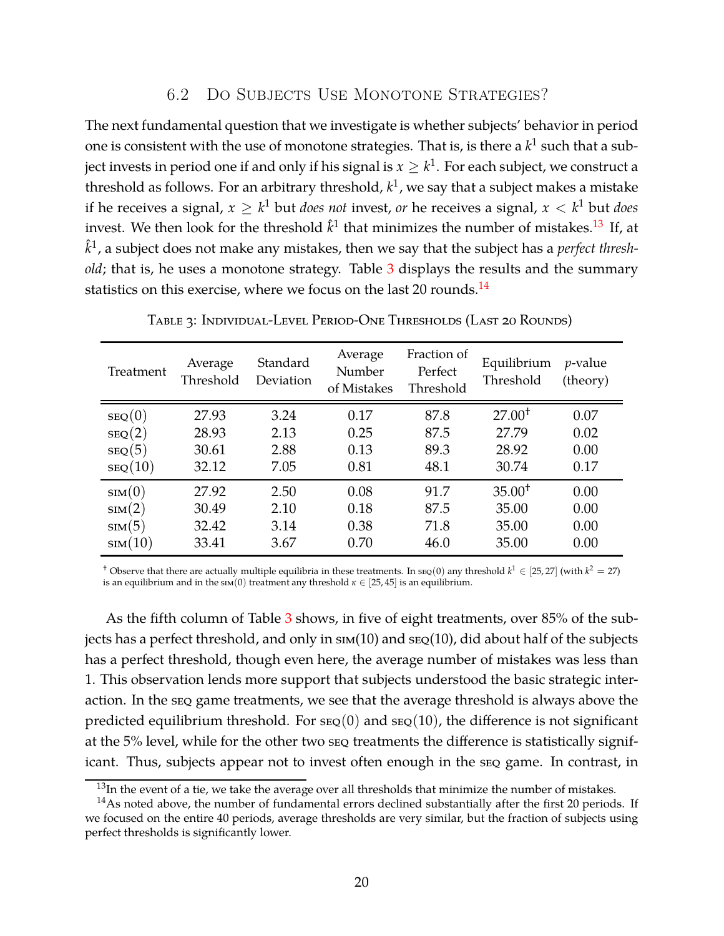### 6.2 Do Subjects Use Monotone Strategies?

The next fundamental question that we investigate is whether subjects' behavior in period one is consistent with the use of monotone strategies. That is, is there a  $k^1$  such that a subject invests in period one if and only if his signal is  $x\geq k^1.$  For each subject, we construct a threshold as follows. For an arbitrary threshold, *k* 1 , we say that a subject makes a mistake if he receives a signal,  $x \geq k^1$  but *does not* invest, *or* he receives a signal,  $x < k^1$  but *does* invest. We then look for the threshold  $\hat{k}^1$  that minimizes the number of mistakes.<sup>13</sup> If, at  $\hat{k}^1$ , a subject does not make any mistakes, then we say that the subject has a  $\emph{perfect thresh}$ *old*; that is, he uses a monotone strategy. Table [3](#page-19-0) displays the results and the summary statistics on this exercise, where we focus on the last 20 rounds. $^{14}$ 

<span id="page-19-0"></span>

| <b>Treatment</b> | Average<br>Threshold | Standard<br>Deviation | Average<br>Number<br>of Mistakes | Fraction of<br>Perfect<br>Threshold | Equilibrium<br>Threshold | $p$ -value<br>(theory) |
|------------------|----------------------|-----------------------|----------------------------------|-------------------------------------|--------------------------|------------------------|
| SEQ(0)           | 27.93                | 3.24                  | 0.17                             | 87.8                                | $27.00^+$                | 0.07                   |
| SEQ(2)           | 28.93                | 2.13                  | 0.25                             | 87.5                                | 27.79                    | 0.02                   |
| SEQ(5)           | 30.61                | 2.88                  | 0.13                             | 89.3                                | 28.92                    | 0.00                   |
| SEQ(10)          | 32.12                | 7.05                  | 0.81                             | 48.1                                | 30.74                    | 0.17                   |
| sim(0)           | 27.92                | 2.50                  | 0.08                             | 91.7                                | $35.00^+$                | 0.00                   |
| $\text{sim}(2)$  | 30.49                | 2.10                  | 0.18                             | 87.5                                | 35.00                    | 0.00                   |
| $\text{sim}(5)$  | 32.42                | 3.14                  | 0.38                             | 71.8                                | 35.00                    | 0.00                   |
| sim(10)          | 33.41                | 3.67                  | 0.70                             | 46.0                                | 35.00                    | 0.00                   |

Table 3: Individual-Level Period-One Thresholds (Last 20 Rounds)

<sup>†</sup> Observe that there are actually multiple equilibria in these treatments. In  $\text{src}(0)$  any threshold  $k^1 \in [25, 27]$  (with  $k^2 = 27$ ) is an equilibrium and in the  $\text{sin}(0)$  treatment any threshold  $\kappa \in [25, 45]$  is an equilibrium.

As the fifth column of Table [3](#page-19-0) shows, in five of eight treatments, over 85% of the subjects has a perfect threshold, and only in  $\text{sim}(10)$  and  $\text{se}_Q(10)$ , did about half of the subjects has a perfect threshold, though even here, the average number of mistakes was less than 1. This observation lends more support that subjects understood the basic strategic interaction. In the seq game treatments, we see that the average threshold is always above the predicted equilibrium threshold. For  $\text{seg}(0)$  and  $\text{seg}(10)$ , the difference is not significant at the 5% level, while for the other two seq treatments the difference is statistically significant. Thus, subjects appear not to invest often enough in the seq game. In contrast, in

 $13$ In the event of a tie, we take the average over all thresholds that minimize the number of mistakes.

 $14$ As noted above, the number of fundamental errors declined substantially after the first 20 periods. If we focused on the entire 40 periods, average thresholds are very similar, but the fraction of subjects using perfect thresholds is significantly lower.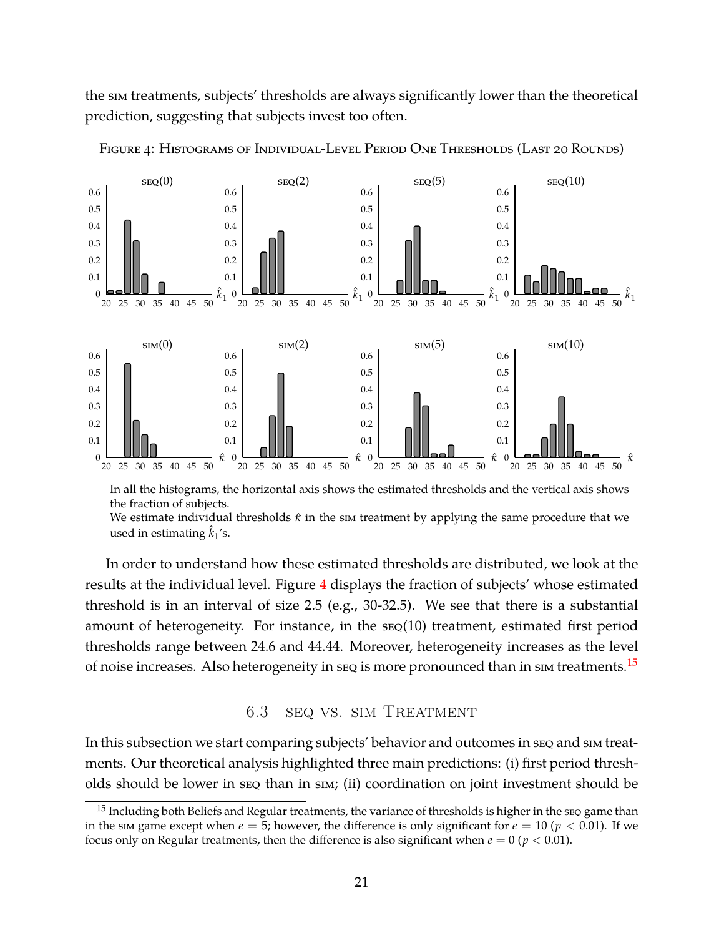<span id="page-20-0"></span>the sim treatments, subjects' thresholds are always significantly lower than the theoretical prediction, suggesting that subjects invest too often.



FIGURE 4: HISTOGRAMS OF INDIVIDUAL-LEVEL PERIOD ONE THRESHOLDS (LAST 20 ROUNDS)

In all the histograms, the horizontal axis shows the estimated thresholds and the vertical axis shows the fraction of subjects. We estimate individual thresholds *κ*ˆ in the sim treatment by applying the same procedure that we used in estimating  $\hat{k}_1$ 's.

In order to understand how these estimated thresholds are distributed, we look at the results at the individual level. Figure [4](#page-20-0) displays the fraction of subjects' whose estimated threshold is in an interval of size 2.5 (e.g., 30-32.5). We see that there is a substantial amount of heterogeneity. For instance, in the seq(10) treatment, estimated first period thresholds range between 24.6 and 44.44. Moreover, heterogeneity increases as the level of noise increases. Also heterogeneity in seq is more pronounced than in sim treatments.<sup>15</sup>

### 6.3 seq vs. sim Treatment

In this subsection we start comparing subjects' behavior and outcomes in seq and sim treatments. Our theoretical analysis highlighted three main predictions: (i) first period thresholds should be lower in seq than in sim; (ii) coordination on joint investment should be

 $15$  Including both Beliefs and Regular treatments, the variance of thresholds is higher in the seq game than in the sim game except when  $e = 5$ ; however, the difference is only significant for  $e = 10$  ( $p < 0.01$ ). If we focus only on Regular treatments, then the difference is also significant when  $e = 0$  ( $p < 0.01$ ).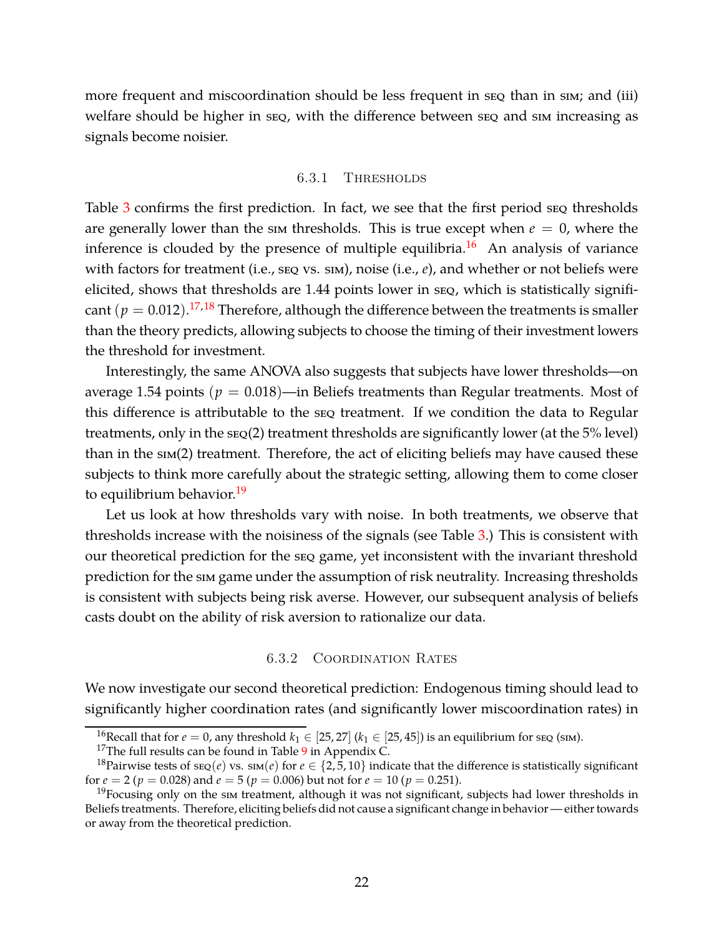more frequent and miscoordination should be less frequent in seq than in sim; and (iii) welfare should be higher in seq, with the difference between seq and sim increasing as signals become noisier.

#### 6.3.1 Thresholds

Table [3](#page-19-0) confirms the first prediction. In fact, we see that the first period seq thresholds are generally lower than the sim thresholds. This is true except when  $e = 0$ , where the inference is clouded by the presence of multiple equilibria.<sup>16</sup> An analysis of variance with factors for treatment (i.e., seq vs. sim), noise (i.e.,  $e$ ), and whether or not beliefs were elicited, shows that thresholds are 1.44 points lower in seq, which is statistically significant  $(p = 0.012).$ <sup>17,18</sup> Therefore, although the difference between the treatments is smaller than the theory predicts, allowing subjects to choose the timing of their investment lowers the threshold for investment.

Interestingly, the same ANOVA also suggests that subjects have lower thresholds—on average 1.54 points ( $p = 0.018$ )—in Beliefs treatments than Regular treatments. Most of this difference is attributable to the seq treatment. If we condition the data to Regular treatments, only in the seq(2) treatment thresholds are significantly lower (at the 5% level) than in the sim(2) treatment. Therefore, the act of eliciting beliefs may have caused these subjects to think more carefully about the strategic setting, allowing them to come closer to equilibrium behavior.<sup>19</sup>

Let us look at how thresholds vary with noise. In both treatments, we observe that thresholds increase with the noisiness of the signals (see Table [3.](#page-19-0)) This is consistent with our theoretical prediction for the seq game, yet inconsistent with the invariant threshold prediction for the sim game under the assumption of risk neutrality. Increasing thresholds is consistent with subjects being risk averse. However, our subsequent analysis of beliefs casts doubt on the ability of risk aversion to rationalize our data.

#### 6.3.2 Coordination Rates

We now investigate our second theoretical prediction: Endogenous timing should lead to significantly higher coordination rates (and significantly lower miscoordination rates) in

<sup>&</sup>lt;sup>16</sup>Recall that for  $e = 0$ , any threshold  $k_1 \in [25, 27]$  ( $k_1 \in [25, 45]$ ) is an equilibrium for seq (sim).

<sup>&</sup>lt;sup>17</sup>The full results can be found in Table  $9$  in Appendix C.

<sup>&</sup>lt;sup>18</sup>Pairwise tests of  $\text{seq}(e)$  vs.  $\text{sm}(e)$  for  $e \in \{2, 5, 10\}$  indicate that the difference is statistically significant for  $e = 2$  ( $p = 0.028$ ) and  $e = 5$  ( $p = 0.006$ ) but not for  $e = 10$  ( $p = 0.251$ ).

 $19$ Focusing only on the sim treatment, although it was not significant, subjects had lower thresholds in Beliefs treatments. Therefore, eliciting beliefs did not cause a significant change in behavior — either towards or away from the theoretical prediction.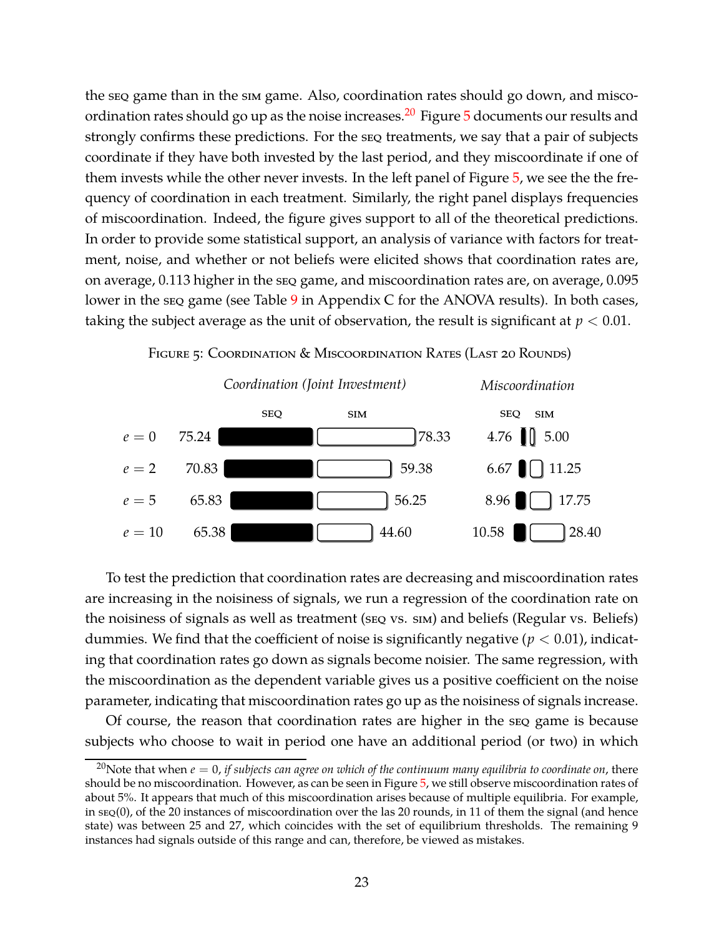the seq game than in the sim game. Also, coordination rates should go down, and miscoordination rates should go up as the noise increases.<sup>20</sup> Figure  $5$  documents our results and strongly confirms these predictions. For the seq treatments, we say that a pair of subjects coordinate if they have both invested by the last period, and they miscoordinate if one of them invests while the other never invests. In the left panel of Figure [5,](#page-22-0) we see the the frequency of coordination in each treatment. Similarly, the right panel displays frequencies of miscoordination. Indeed, the figure gives support to all of the theoretical predictions. In order to provide some statistical support, an analysis of variance with factors for treatment, noise, and whether or not beliefs were elicited shows that coordination rates are, on average, 0.113 higher in the seq game, and miscoordination rates are, on average, 0.095 lower in the seq game (see Table [9](#page-41-0) in Appendix C for the ANOVA results). In both cases, taking the subject average as the unit of observation, the result is significant at  $p < 0.01$ .

<span id="page-22-0"></span>

 $e = 10$  65.38  $\parallel$  44.60



To test the prediction that coordination rates are decreasing and miscoordination rates are increasing in the noisiness of signals, we run a regression of the coordination rate on the noisiness of signals as well as treatment (seq vs. sim) and beliefs (Regular vs. Beliefs) dummies. We find that the coefficient of noise is significantly negative ( $p < 0.01$ ), indicating that coordination rates go down as signals become noisier. The same regression, with the miscoordination as the dependent variable gives us a positive coefficient on the noise parameter, indicating that miscoordination rates go up as the noisiness of signals increase.

10.58 | | | | | | 28.40

Of course, the reason that coordination rates are higher in the seq game is because subjects who choose to wait in period one have an additional period (or two) in which

<sup>&</sup>lt;sup>20</sup>Note that when  $e = 0$ , *if subjects can agree on which of the continuum many equilibria to coordinate on*, there should be no miscoordination. However, as can be seen in Figure [5,](#page-22-0) we still observe miscoordination rates of about 5%. It appears that much of this miscoordination arises because of multiple equilibria. For example, in seq(0), of the 20 instances of miscoordination over the las 20 rounds, in 11 of them the signal (and hence state) was between 25 and 27, which coincides with the set of equilibrium thresholds. The remaining 9 instances had signals outside of this range and can, therefore, be viewed as mistakes.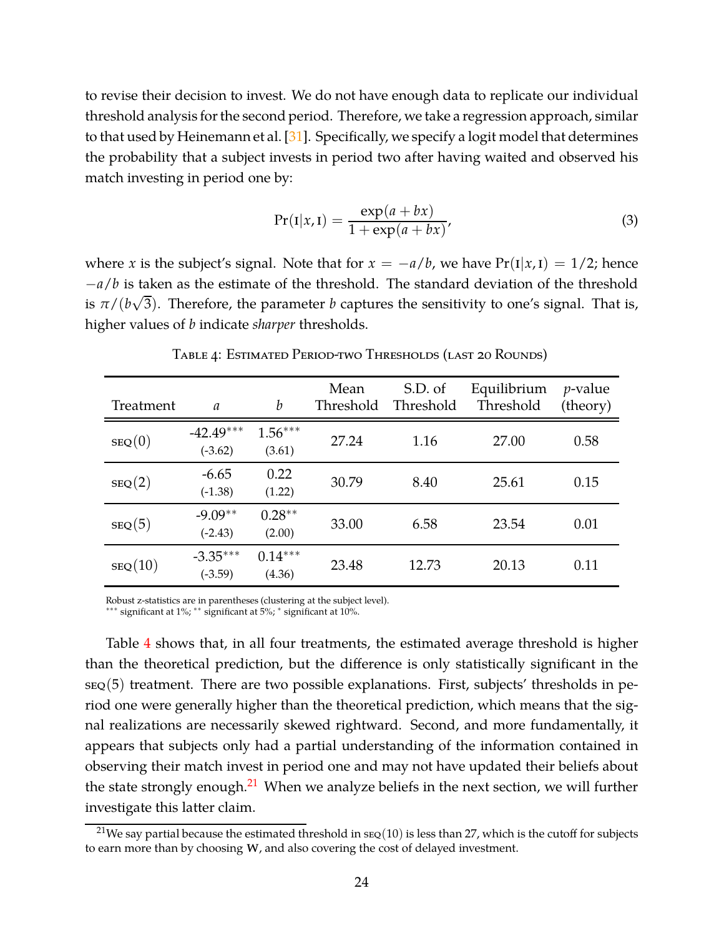to revise their decision to invest. We do not have enough data to replicate our individual threshold analysis for the second period. Therefore, we take a regression approach, similar to that used by Heinemann et al. [\[31\]](#page-36-8). Specifically, we specify a logit model that determines the probability that a subject invests in period two after having waited and observed his match investing in period one by:

$$
Pr(I|x, I) = \frac{\exp(a + bx)}{1 + \exp(a + bx)},
$$
\n(3)

where *x* is the subject's signal. Note that for  $x = -a/b$ , we have  $Pr(I|x, I) = 1/2$ ; hence −*a*/*b* is taken as the estimate of the threshold. The standard deviation of the threshold is  $\pi/(b\sqrt{3})$ . Therefore, the parameter *b* captures the sensitivity to one's signal. That is, higher values of *b* indicate *sharper* thresholds.

<span id="page-23-0"></span>

| Treatment | $\mathfrak{a}$           | $\boldsymbol{b}$    | Mean<br>Threshold | S.D. of<br>Threshold | Equilibrium<br>Threshold | $p$ -value<br>(theory) |
|-----------|--------------------------|---------------------|-------------------|----------------------|--------------------------|------------------------|
| SEQ(0)    | $-42.49***$<br>$(-3.62)$ | $1.56***$<br>(3.61) | 27.24             | 1.16                 | 27.00                    | 0.58                   |
| SEQ(2)    | $-6.65$<br>$(-1.38)$     | 0.22<br>(1.22)      | 30.79             | 8.40                 | 25.61                    | 0.15                   |
| SEQ(5)    | $-9.09**$<br>$(-2.43)$   | $0.28**$<br>(2.00)  | 33.00             | 6.58                 | 23.54                    | 0.01                   |
| SEQ(10)   | $-3.35***$<br>$(-3.59)$  | $0.14***$<br>(4.36) | 23.48             | 12.73                | 20.13                    | 0.11                   |

Table 4: Estimated Period-two Thresholds (last 20 Rounds)

Robust z-statistics are in parentheses (clustering at the subject level).

∗∗∗ significant at 1%; ∗∗ significant at 5%; ∗ significant at 10%.

Table [4](#page-23-0) shows that, in all four treatments, the estimated average threshold is higher than the theoretical prediction, but the difference is only statistically significant in the  $s_{EQ}(5)$  treatment. There are two possible explanations. First, subjects' thresholds in period one were generally higher than the theoretical prediction, which means that the signal realizations are necessarily skewed rightward. Second, and more fundamentally, it appears that subjects only had a partial understanding of the information contained in observing their match invest in period one and may not have updated their beliefs about the state strongly enough. $21$  When we analyze beliefs in the next section, we will further investigate this latter claim.

<sup>&</sup>lt;sup>21</sup>We say partial because the estimated threshold in  $\text{sg}(10)$  is less than 27, which is the cutoff for subjects to earn more than by choosing w, and also covering the cost of delayed investment.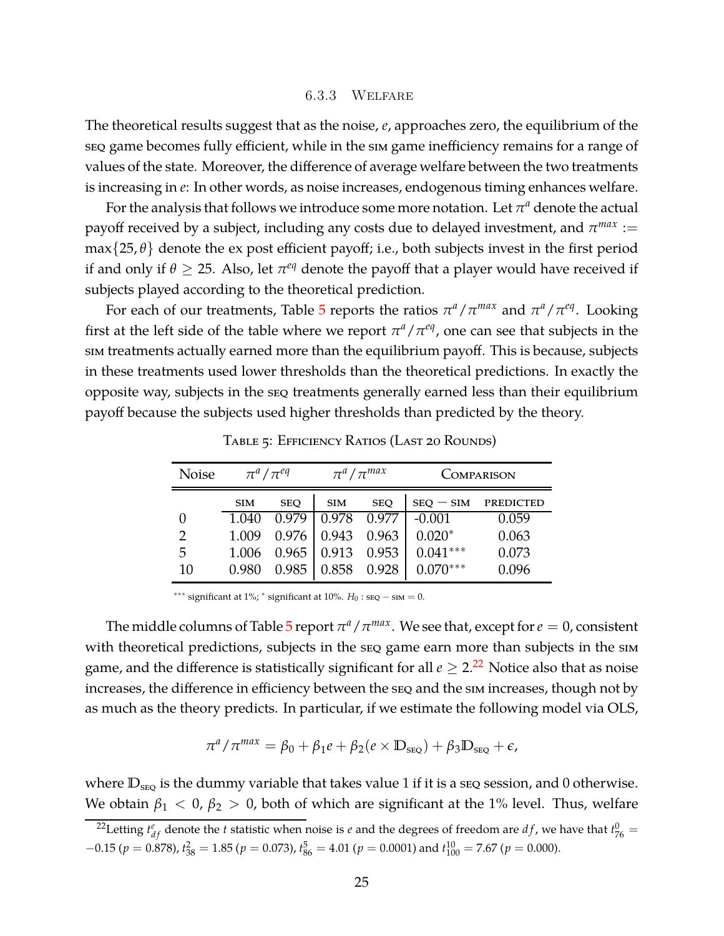#### 6.3.3 Welfare

The theoretical results suggest that as the noise, *e*, approaches zero, the equilibrium of the seq game becomes fully efficient, while in the sim game inefficiency remains for a range of values of the state. Moreover, the difference of average welfare between the two treatments is increasing in *e*: In other words, as noise increases, endogenous timing enhances welfare.

For the analysis that follows we introduce some more notation. Let  $\pi^a$  denote the actual payoff received by a subject, including any costs due to delayed investment, and  $\pi^{max} :=$  $max\{25,\theta\}$  denote the ex post efficient payoff; i.e., both subjects invest in the first period if and only if  $\theta \geq 25$ . Also, let  $\pi^{eq}$  denote the payoff that a player would have received if subjects played according to the theoretical prediction.

For each of our treatments, Table [5](#page-24-0) reports the ratios  $\pi^a/\pi^{max}$  and  $\pi^a/\pi^{eq}$ . Looking first at the left side of the table where we report  $\pi^a/\pi^{eq}$ , one can see that subjects in the sim treatments actually earned more than the equilibrium payoff. This is because, subjects in these treatments used lower thresholds than the theoretical predictions. In exactly the opposite way, subjects in the seq treatments generally earned less than their equilibrium payoff because the subjects used higher thresholds than predicted by the theory.

<span id="page-24-0"></span>

| <b>Noise</b> | $\pi^a/\pi^{eq}$ |            | $\pi^a/\pi^{max}$   |            | <b>COMPARISON</b> |                  |  |
|--------------|------------------|------------|---------------------|------------|-------------------|------------------|--|
|              | <b>SIM</b>       | <b>SEO</b> | <b>SIM</b>          | <b>SEO</b> | $SEQ - SIM$       | <b>PREDICTED</b> |  |
|              | 1.040            | 0.979      | 0.978               | 0.977      | $-0.001$          | 0.059            |  |
| 2            | 1.009            | 0.976      | 0.943 0.963         |            | $0.020*$          | 0.063            |  |
| 5            | 1.006            |            | $0.965$ 0.913 0.953 |            | $0.041***$        | 0.073            |  |
| 10           | 0.980            | 0.985      | 0.858               | 0.928      | $0.070***$        | 0.096            |  |

Table 5: Efficiency Ratios (Last 20 Rounds)

∗∗∗ significant at 1%; ∗ significant at 10%. *H*<sup>0</sup> : seq − sim = 0.

The middle columns of Table [5](#page-24-0) report  $\pi^a/\pi^{max}$ . We see that, except for  $e=0$ , consistent with theoretical predictions, subjects in the seq game earn more than subjects in the sim game, and the difference is statistically significant for all  $e \geq 2.^{22}$  Notice also that as noise increases, the difference in efficiency between the seq and the sim increases, though not by as much as the theory predicts. In particular, if we estimate the following model via OLS,

$$
\pi^a/\pi^{max} = \beta_0 + \beta_1 e + \beta_2 (e \times D_{\text{seq}}) + \beta_3 D_{\text{seq}} + \epsilon,
$$

where  $D_{\text{SEQ}}$  is the dummy variable that takes value 1 if it is a seq session, and 0 otherwise. We obtain  $\beta_1 < 0$ ,  $\beta_2 > 0$ , both of which are significant at the 1% level. Thus, welfare

<sup>&</sup>lt;sup>22</sup>Letting  $t_{df}^e$  denote the *t* statistic when noise is *e* and the degrees of freedom are *df* , we have that  $t_{76}^0$  =  $-0.15$  ( $p = 0.878$ ),  $t_{38}^2 = 1.85$  ( $p = 0.073$ ),  $t_{86}^5 = 4.01$  ( $p = 0.0001$ ) and  $t_{100}^{10} = 7.67$  ( $p = 0.000$ ).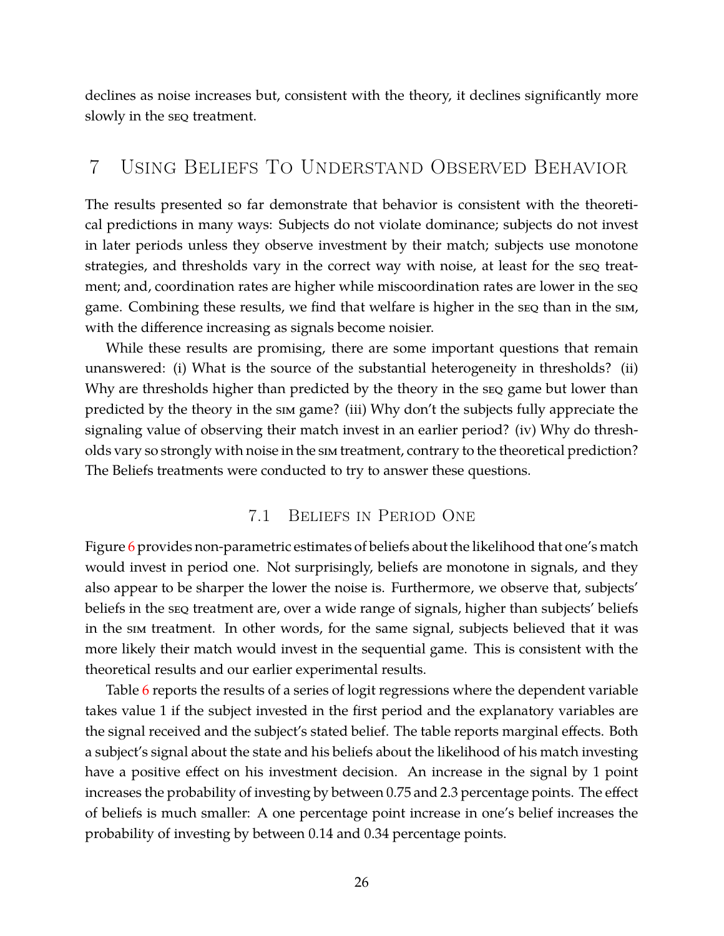declines as noise increases but, consistent with the theory, it declines significantly more slowly in the seq treatment.

# <span id="page-25-0"></span>7 Using Beliefs To Understand Observed Behavior

The results presented so far demonstrate that behavior is consistent with the theoretical predictions in many ways: Subjects do not violate dominance; subjects do not invest in later periods unless they observe investment by their match; subjects use monotone strategies, and thresholds vary in the correct way with noise, at least for the seq treatment; and, coordination rates are higher while miscoordination rates are lower in the seq game. Combining these results, we find that welfare is higher in the seq than in the sim, with the difference increasing as signals become noisier.

While these results are promising, there are some important questions that remain unanswered: (i) What is the source of the substantial heterogeneity in thresholds? (ii) Why are thresholds higher than predicted by the theory in the seq game but lower than predicted by the theory in the sim game? (iii) Why don't the subjects fully appreciate the signaling value of observing their match invest in an earlier period? (iv) Why do thresholds vary so strongly with noise in the sim treatment, contrary to the theoretical prediction? The Beliefs treatments were conducted to try to answer these questions.

### 7.1 Beliefs in Period One

Figure [6](#page-26-0) provides non-parametric estimates of beliefs about the likelihood that one's match would invest in period one. Not surprisingly, beliefs are monotone in signals, and they also appear to be sharper the lower the noise is. Furthermore, we observe that, subjects' beliefs in the seq treatment are, over a wide range of signals, higher than subjects' beliefs in the sim treatment. In other words, for the same signal, subjects believed that it was more likely their match would invest in the sequential game. This is consistent with the theoretical results and our earlier experimental results.

Table [6](#page-27-0) reports the results of a series of logit regressions where the dependent variable takes value 1 if the subject invested in the first period and the explanatory variables are the signal received and the subject's stated belief. The table reports marginal effects. Both a subject's signal about the state and his beliefs about the likelihood of his match investing have a positive effect on his investment decision. An increase in the signal by 1 point increases the probability of investing by between 0.75 and 2.3 percentage points. The effect of beliefs is much smaller: A one percentage point increase in one's belief increases the probability of investing by between 0.14 and 0.34 percentage points.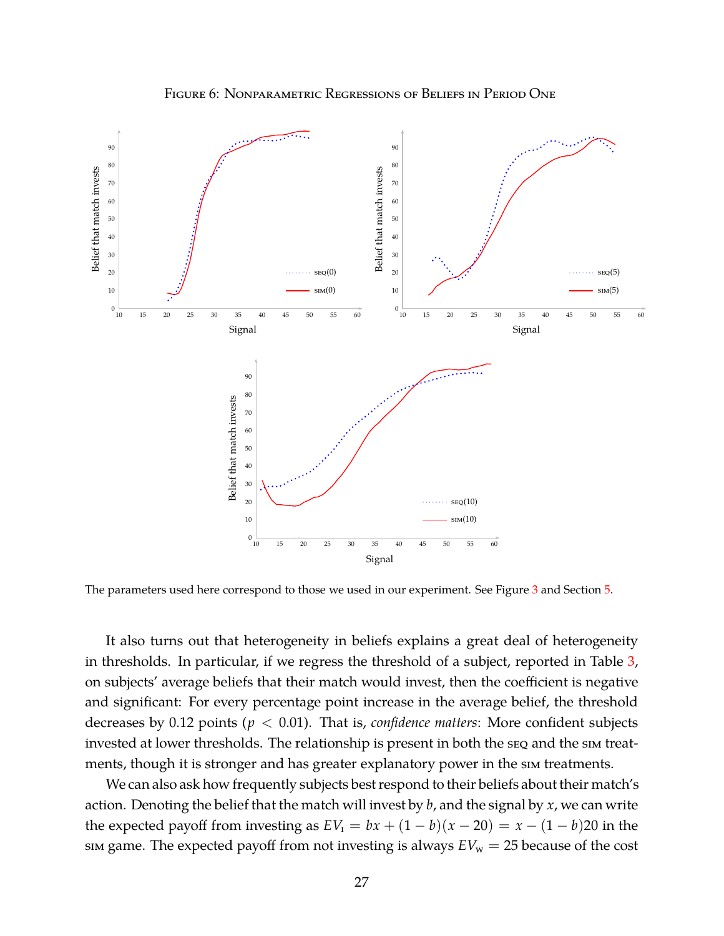

<span id="page-26-0"></span>

The parameters used here correspond to those we used in our experiment. See Figure [3](#page-16-0) and Section [5.](#page-15-0)

It also turns out that heterogeneity in beliefs explains a great deal of heterogeneity in thresholds. In particular, if we regress the threshold of a subject, reported in Table [3,](#page-19-0) on subjects' average beliefs that their match would invest, then the coefficient is negative and significant: For every percentage point increase in the average belief, the threshold decreases by 0.12 points (*p* < 0.01). That is, *confidence matters*: More confident subjects invested at lower thresholds. The relationship is present in both the seq and the sim treatments, though it is stronger and has greater explanatory power in the sim treatments.

We can also ask how frequently subjects best respond to their beliefs about their match's action. Denoting the belief that the match will invest by *b*, and the signal by *x*, we can write the expected payoff from investing as  $EV_1 = bx + (1 - b)(x - 20) = x - (1 - b)20$  in the sim game. The expected payoff from not investing is always  $EV_w = 25$  because of the cost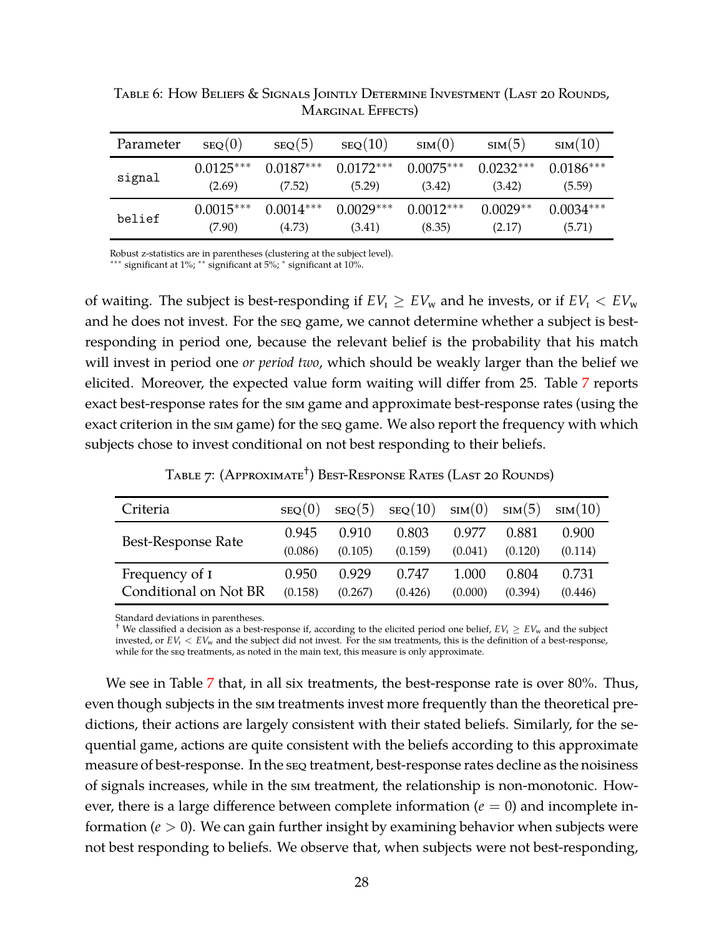| Parameter | SEQ(0)      | SEQ(5)      | SEQ(10)     | $\text{sim}(0)$ | sim(5)      | sim(10)     |
|-----------|-------------|-------------|-------------|-----------------|-------------|-------------|
| signal    | $0.0125***$ | $0.0187***$ | $0.0172***$ | $0.0075***$     | $0.0232***$ | $0.0186***$ |
|           | (2.69)      | (7.52)      | (5.29)      | (3.42)          | (3.42)      | (5.59)      |
| belief    | $0.0015***$ | $0.0014***$ | $0.0029***$ | $0.0012***$     | $0.0029**$  | $0.0034***$ |
|           | (7.90)      | (4.73)      | (3.41)      | (8.35)          | (2.17)      | (5.71)      |

<span id="page-27-0"></span>Table 6: How Beliefs & Signals Jointly Determine Investment (Last 20 Rounds, MARGINAL EFFECTS)

Robust z-statistics are in parentheses (clustering at the subject level).

∗∗∗ significant at 1%; ∗∗ significant at 5%; ∗ significant at 10%.

of waiting. The subject is best-responding if  $EV_1 \geq EV_w$  and he invests, or if  $EV_1 \ltq EV_w$ and he does not invest. For the seq game, we cannot determine whether a subject is bestresponding in period one, because the relevant belief is the probability that his match will invest in period one *or period two*, which should be weakly larger than the belief we elicited. Moreover, the expected value form waiting will differ from 25. Table [7](#page-27-1) reports exact best-response rates for the sim game and approximate best-response rates (using the exact criterion in the sim game) for the seq game. We also report the frequency with which subjects chose to invest conditional on not best responding to their beliefs.

Table 7: (Approximate† ) Best-Response Rates (Last 20 Rounds)

<span id="page-27-1"></span>

| Criteria                  | SEQ(0)  | SEQ(5)  | SEQ(10) | sim(0)  | $\text{sim}(5)$ | sim(10) |
|---------------------------|---------|---------|---------|---------|-----------------|---------|
| <b>Best-Response Rate</b> | 0.945   | 0.910   | 0.803   | 0.977   | 0.881           | 0.900   |
|                           | (0.086) | (0.105) | (0.159) | (0.041) | (0.120)         | (0.114) |
| Frequency of I            | 0.950   | 0.929   | 0.747   | 1.000   | 0.804           | 0.731   |
| Conditional on Not BR     | (0.158) | (0.267) | (0.426) | (0.000) | (0.394)         | (0.446) |

Standard deviations in parentheses.

<sup>†</sup> We classified a decision as a best-response if, according to the elicited period one belief,  $EV_1 \geq EV_w$  and the subject invested, or  $EV_1$  <  $EV_w$  and the subject did not invest. For the sim treatments, this is the definition of a best-response, while for the seq treatments, as noted in the main text, this measure is only approximate.

We see in Table [7](#page-27-1) that, in all six treatments, the best-response rate is over 80%. Thus, even though subjects in the sim treatments invest more frequently than the theoretical predictions, their actions are largely consistent with their stated beliefs. Similarly, for the sequential game, actions are quite consistent with the beliefs according to this approximate measure of best-response. In the seq treatment, best-response rates decline as the noisiness of signals increases, while in the sim treatment, the relationship is non-monotonic. However, there is a large difference between complete information  $(e = 0)$  and incomplete information (*e* > 0). We can gain further insight by examining behavior when subjects were not best responding to beliefs. We observe that, when subjects were not best-responding,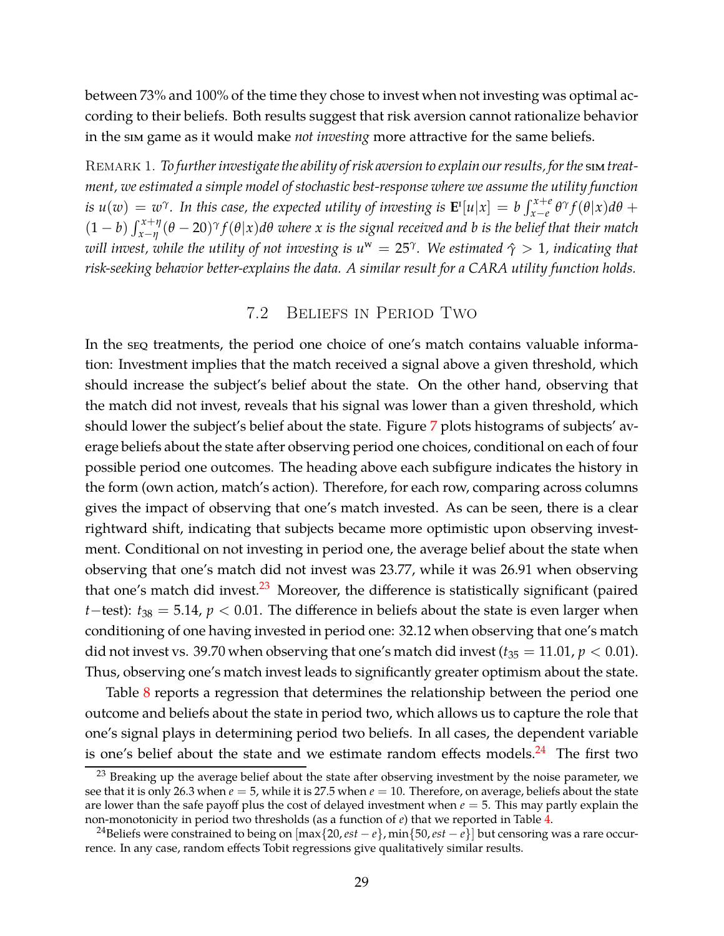between 73% and 100% of the time they chose to invest when not investing was optimal according to their beliefs. Both results suggest that risk aversion cannot rationalize behavior in the sim game as it would make *not investing* more attractive for the same beliefs.

<span id="page-28-0"></span>Remark 1. *To further investigate the ability of risk aversion to explain our results, for the* sim*treatment, we estimated a simple model of stochastic best-response where we assume the utility function* is  $u(w) = w^{\gamma}$ . In this case, the expected utility of investing is  $\mathbf{E}^{\mathrm{I}}[u|x] = b \int_{x-e}^{x+e} \theta^{\gamma} f(\theta|x) d\theta +$  $(1-b)\int_{x-\eta}^{x+\eta}(\theta-20)^{\gamma}f(\theta|x)d\theta$  where x is the signal received and b is the belief that their match *will invest, while the utility of not investing is u* <sup>w</sup> = 25*<sup>γ</sup> . We estimated γ*ˆ > 1*, indicating that risk-seeking behavior better-explains the data. A similar result for a CARA utility function holds.*

### 7.2 Beliefs in Period Two

In the seq treatments, the period one choice of one's match contains valuable information: Investment implies that the match received a signal above a given threshold, which should increase the subject's belief about the state. On the other hand, observing that the match did not invest, reveals that his signal was lower than a given threshold, which should lower the subject's belief about the state. Figure [7](#page-29-0) plots histograms of subjects' average beliefs about the state after observing period one choices, conditional on each of four possible period one outcomes. The heading above each subfigure indicates the history in the form (own action, match's action). Therefore, for each row, comparing across columns gives the impact of observing that one's match invested. As can be seen, there is a clear rightward shift, indicating that subjects became more optimistic upon observing investment. Conditional on not investing in period one, the average belief about the state when observing that one's match did not invest was 23.77, while it was 26.91 when observing that one's match did invest. $23$  Moreover, the difference is statistically significant (paired *t*−test):  $t_{38} = 5.14$ ,  $p < 0.01$ . The difference in beliefs about the state is even larger when conditioning of one having invested in period one: 32.12 when observing that one's match did not invest vs. 39.70 when observing that one's match did invest  $(t_{35} = 11.01, p < 0.01)$ . Thus, observing one's match invest leads to significantly greater optimism about the state.

Table [8](#page-30-0) reports a regression that determines the relationship between the period one outcome and beliefs about the state in period two, which allows us to capture the role that one's signal plays in determining period two beliefs. In all cases, the dependent variable is one's belief about the state and we estimate random effects models. $^{24}$  The first two

<sup>&</sup>lt;sup>23</sup> Breaking up the average belief about the state after observing investment by the noise parameter, we see that it is only 26.3 when  $e = 5$ , while it is 27.5 when  $e = 10$ . Therefore, on average, beliefs about the state are lower than the safe payoff plus the cost of delayed investment when  $e = 5$ . This may partly explain the non-monotonicity in period two thresholds (as a function of *e*) that we reported in Table [4.](#page-23-0)

<sup>24</sup>Beliefs were constrained to being on [max{20,*est* <sup>−</sup> *<sup>e</sup>*}, min{50,*est* <sup>−</sup> *<sup>e</sup>*}] but censoring was a rare occurrence. In any case, random effects Tobit regressions give qualitatively similar results.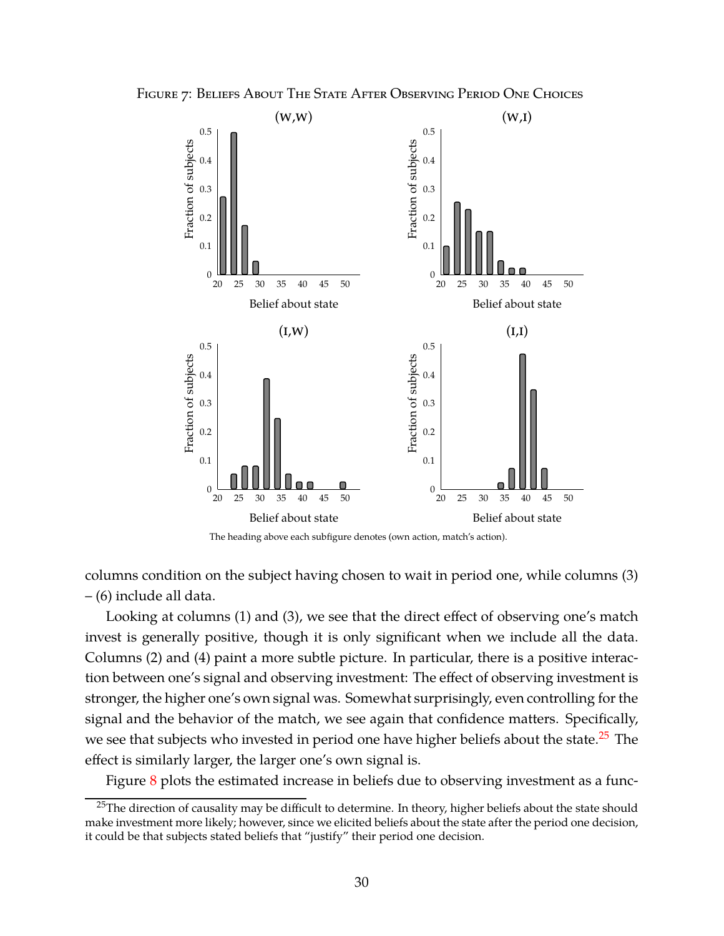<span id="page-29-0"></span>



The heading above each subfigure denotes (own action, match's action).

columns condition on the subject having chosen to wait in period one, while columns (3) – (6) include all data.

Looking at columns (1) and (3), we see that the direct effect of observing one's match invest is generally positive, though it is only significant when we include all the data. Columns (2) and (4) paint a more subtle picture. In particular, there is a positive interaction between one's signal and observing investment: The effect of observing investment is stronger, the higher one's own signal was. Somewhat surprisingly, even controlling for the signal and the behavior of the match, we see again that confidence matters. Specifically, we see that subjects who invested in period one have higher beliefs about the state.<sup>25</sup> The effect is similarly larger, the larger one's own signal is.

Figure  $8$  plots the estimated increase in beliefs due to observing investment as a func-

<sup>&</sup>lt;sup>25</sup>The direction of causality may be difficult to determine. In theory, higher beliefs about the state should make investment more likely; however, since we elicited beliefs about the state after the period one decision, it could be that subjects stated beliefs that "justify" their period one decision.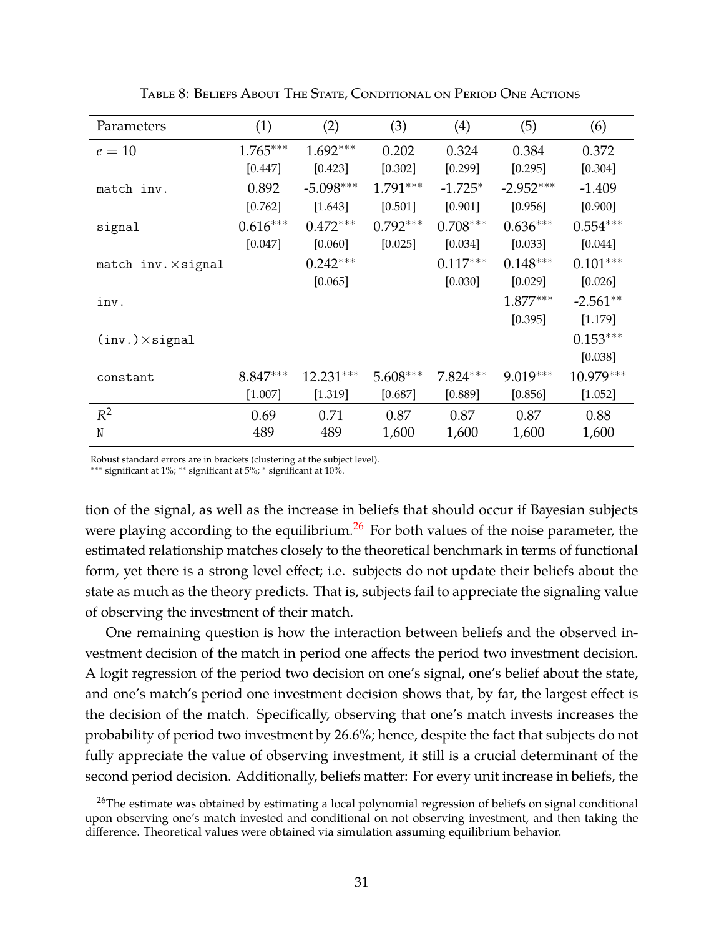<span id="page-30-0"></span>

| Parameters                         | (1)        | (2)         | (3)        | (4)        | (5)         | (6)         |
|------------------------------------|------------|-------------|------------|------------|-------------|-------------|
| $e=10$                             | $1.765***$ | $1.692***$  | 0.202      | 0.324      | 0.384       | 0.372       |
|                                    | [0.447]    | [0.423]     | [0.302]    | [0.299]    | [0.295]     | [0.304]     |
| match inv.                         | 0.892      | $-5.098***$ | $1.791***$ | $-1.725*$  | $-2.952***$ | $-1.409$    |
|                                    | $[0.762]$  | [1.643]     | [0.501]    | [0.901]    | [0.956]     | [0.900]     |
| signal                             | $0.616***$ | $0.472***$  | $0.792***$ | $0.708***$ | $0.636***$  | $0.554***$  |
|                                    | [0.047]    | $[0.060]$   | [0.025]    | [0.034]    | [0.033]     | [0.044]     |
| match $inv \times$ signal          |            | $0.242***$  |            | $0.117***$ | $0.148***$  | $0.101***$  |
|                                    |            | [0.065]     |            | [0.030]    | [0.029]     | [0.026]     |
| inv.                               |            |             |            |            | $1.877***$  | $-2.561**$  |
|                                    |            |             |            |            | [0.395]     | [1.179]     |
| $({\rm inv.}) \times {\rm signal}$ |            |             |            |            |             | $0.153***$  |
|                                    |            |             |            |            |             | [0.038]     |
| constant                           | $8.847***$ | $12.231***$ | $5.608***$ | $7.824***$ | $9.019***$  | $10.979***$ |
|                                    | [1.007]    | [1.319]     | [0.687]    | [0.889]    | [0.856]     | [1.052]     |
| $R^2$                              | 0.69       | 0.71        | 0.87       | 0.87       | 0.87        | 0.88        |
| N                                  | 489        | 489         | 1,600      | 1,600      | 1,600       | 1,600       |

Table 8: Beliefs About The State, Conditional on Period One Actions

Robust standard errors are in brackets (clustering at the subject level).

∗∗∗ significant at 1%; ∗∗ significant at 5%; ∗ significant at 10%.

tion of the signal, as well as the increase in beliefs that should occur if Bayesian subjects were playing according to the equilibrium.<sup>26</sup> For both values of the noise parameter, the estimated relationship matches closely to the theoretical benchmark in terms of functional form, yet there is a strong level effect; i.e. subjects do not update their beliefs about the state as much as the theory predicts. That is, subjects fail to appreciate the signaling value of observing the investment of their match.

One remaining question is how the interaction between beliefs and the observed investment decision of the match in period one affects the period two investment decision. A logit regression of the period two decision on one's signal, one's belief about the state, and one's match's period one investment decision shows that, by far, the largest effect is the decision of the match. Specifically, observing that one's match invests increases the probability of period two investment by 26.6%; hence, despite the fact that subjects do not fully appreciate the value of observing investment, it still is a crucial determinant of the second period decision. Additionally, beliefs matter: For every unit increase in beliefs, the

<sup>&</sup>lt;sup>26</sup>The estimate was obtained by estimating a local polynomial regression of beliefs on signal conditional upon observing one's match invested and conditional on not observing investment, and then taking the difference. Theoretical values were obtained via simulation assuming equilibrium behavior.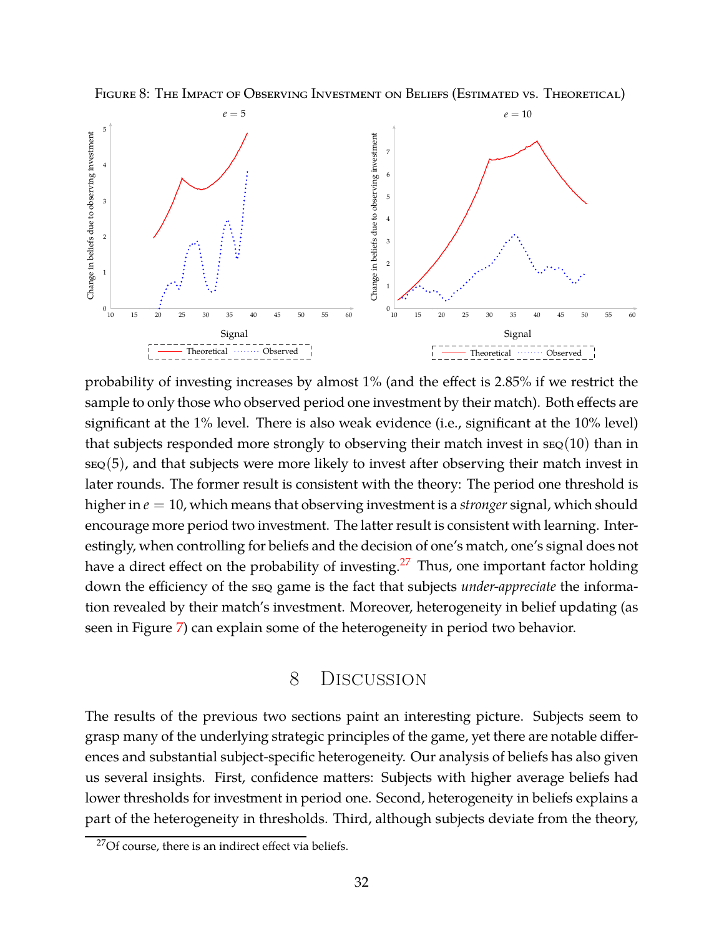<span id="page-31-1"></span>FIGURE 8: THE IMPACT OF OBSERVING INVESTMENT ON BELIEFS (ESTIMATED VS. THEORETICAL)



probability of investing increases by almost 1% (and the effect is 2.85% if we restrict the sample to only those who observed period one investment by their match). Both effects are significant at the 1% level. There is also weak evidence (i.e., significant at the 10% level) that subjects responded more strongly to observing their match invest in  $\text{seg}(10)$  than in seq(5), and that subjects were more likely to invest after observing their match invest in later rounds. The former result is consistent with the theory: The period one threshold is higher in *e* = 10, which means that observing investment is a *stronger* signal, which should encourage more period two investment. The latter result is consistent with learning. Interestingly, when controlling for beliefs and the decision of one's match, one's signal does not have a direct effect on the probability of investing.<sup>27</sup> Thus, one important factor holding down the efficiency of the seq game is the fact that subjects *under-appreciate* the information revealed by their match's investment. Moreover, heterogeneity in belief updating (as seen in Figure [7\)](#page-29-0) can explain some of the heterogeneity in period two behavior.

# 8 Discussion

<span id="page-31-0"></span>The results of the previous two sections paint an interesting picture. Subjects seem to grasp many of the underlying strategic principles of the game, yet there are notable differences and substantial subject-specific heterogeneity. Our analysis of beliefs has also given us several insights. First, confidence matters: Subjects with higher average beliefs had lower thresholds for investment in period one. Second, heterogeneity in beliefs explains a part of the heterogeneity in thresholds. Third, although subjects deviate from the theory,

 $27$ Of course, there is an indirect effect via beliefs.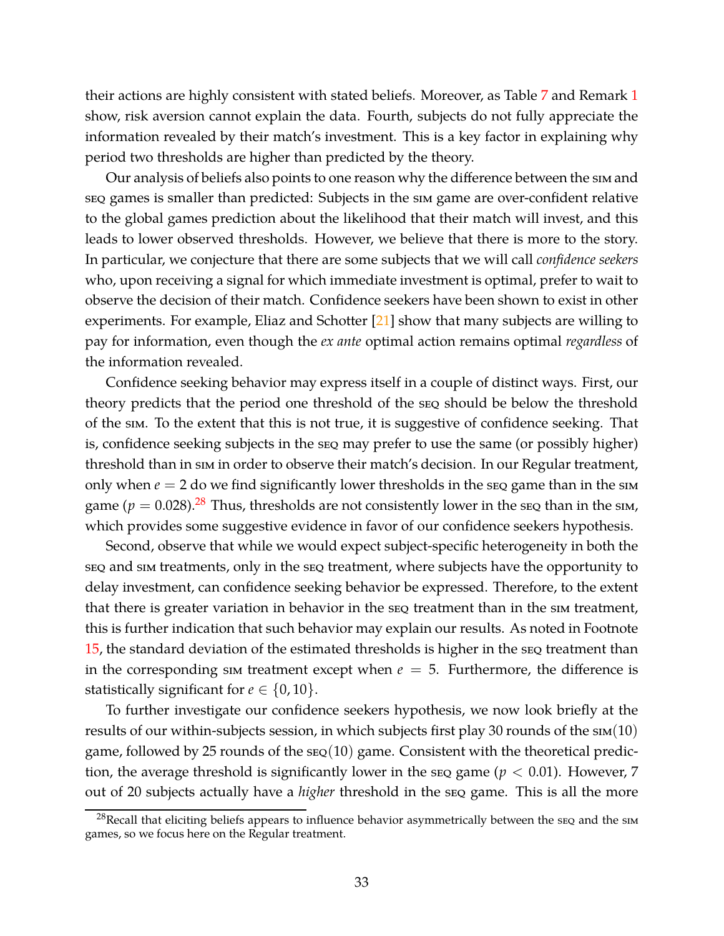their actions are highly consistent with stated beliefs. Moreover, as Table [7](#page-27-1) and Remark [1](#page-28-0) show, risk aversion cannot explain the data. Fourth, subjects do not fully appreciate the information revealed by their match's investment. This is a key factor in explaining why period two thresholds are higher than predicted by the theory.

Our analysis of beliefs also points to one reason why the difference between the sim and seq games is smaller than predicted: Subjects in the sim game are over-confident relative to the global games prediction about the likelihood that their match will invest, and this leads to lower observed thresholds. However, we believe that there is more to the story. In particular, we conjecture that there are some subjects that we will call *confidence seekers* who, upon receiving a signal for which immediate investment is optimal, prefer to wait to observe the decision of their match. Confidence seekers have been shown to exist in other experiments. For example, Eliaz and Schotter  $[21]$  show that many subjects are willing to pay for information, even though the *ex ante* optimal action remains optimal *regardless* of the information revealed.

Confidence seeking behavior may express itself in a couple of distinct ways. First, our theory predicts that the period one threshold of the seq should be below the threshold of the sim. To the extent that this is not true, it is suggestive of confidence seeking. That is, confidence seeking subjects in the seq may prefer to use the same (or possibly higher) threshold than in sim in order to observe their match's decision. In our Regular treatment, only when  $e = 2$  do we find significantly lower thresholds in the seq game than in the sim game ( $p = 0.028$ ).<sup>28</sup> Thus, thresholds are not consistently lower in the seq than in the sim, which provides some suggestive evidence in favor of our confidence seekers hypothesis.

Second, observe that while we would expect subject-specific heterogeneity in both the seq and sim treatments, only in the seq treatment, where subjects have the opportunity to delay investment, can confidence seeking behavior be expressed. Therefore, to the extent that there is greater variation in behavior in the seq treatment than in the sim treatment, this is further indication that such behavior may explain our results. As noted in Footnote [15,](#page-20-0) the standard deviation of the estimated thresholds is higher in the seq treatment than in the corresponding sim treatment except when  $e = 5$ . Furthermore, the difference is statistically significant for  $e \in \{0, 10\}$ .

To further investigate our confidence seekers hypothesis, we now look briefly at the results of our within-subjects session, in which subjects first play 30 rounds of the  $\text{sim}(10)$ game, followed by 25 rounds of the  $\text{seq}(10)$  game. Consistent with the theoretical prediction, the average threshold is significantly lower in the seq game ( $p < 0.01$ ). However, 7 out of 20 subjects actually have a *higher* threshold in the seq game. This is all the more

 $^{28}$ Recall that eliciting beliefs appears to influence behavior asymmetrically between the sEQ and the sIM games, so we focus here on the Regular treatment.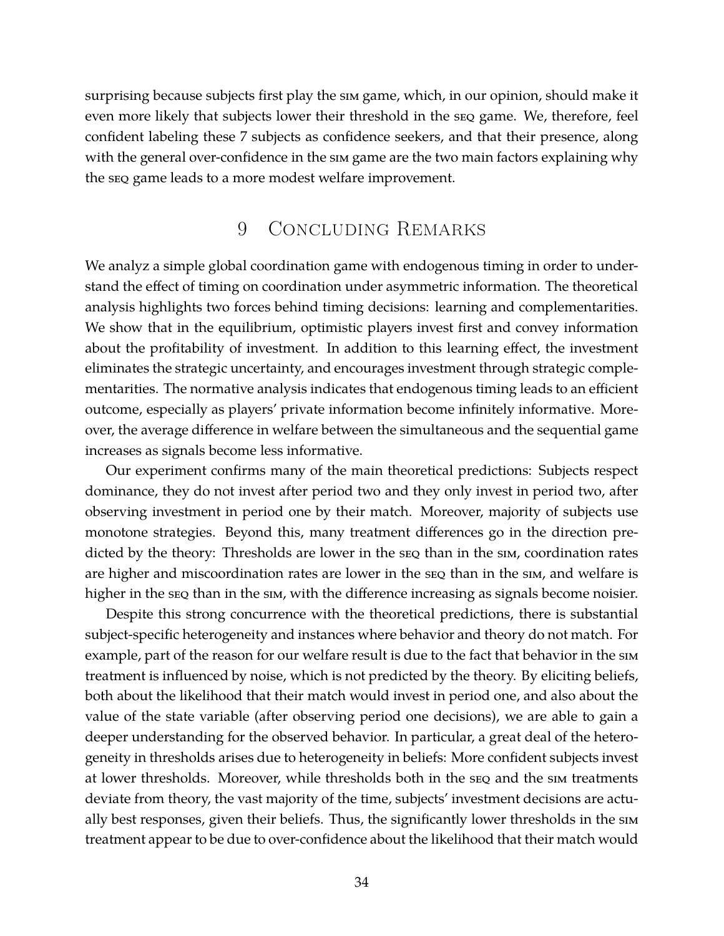surprising because subjects first play the sim game, which, in our opinion, should make it even more likely that subjects lower their threshold in the seq game. We, therefore, feel confident labeling these 7 subjects as confidence seekers, and that their presence, along with the general over-confidence in the sim game are the two main factors explaining why the seq game leads to a more modest welfare improvement.

# 9 Concluding Remarks

We analyz a simple global coordination game with endogenous timing in order to understand the effect of timing on coordination under asymmetric information. The theoretical analysis highlights two forces behind timing decisions: learning and complementarities. We show that in the equilibrium, optimistic players invest first and convey information about the profitability of investment. In addition to this learning effect, the investment eliminates the strategic uncertainty, and encourages investment through strategic complementarities. The normative analysis indicates that endogenous timing leads to an efficient outcome, especially as players' private information become infinitely informative. Moreover, the average difference in welfare between the simultaneous and the sequential game increases as signals become less informative.

Our experiment confirms many of the main theoretical predictions: Subjects respect dominance, they do not invest after period two and they only invest in period two, after observing investment in period one by their match. Moreover, majority of subjects use monotone strategies. Beyond this, many treatment differences go in the direction predicted by the theory: Thresholds are lower in the seq than in the sim, coordination rates are higher and miscoordination rates are lower in the seq than in the sim, and welfare is higher in the seq than in the sim, with the difference increasing as signals become noisier.

Despite this strong concurrence with the theoretical predictions, there is substantial subject-specific heterogeneity and instances where behavior and theory do not match. For example, part of the reason for our welfare result is due to the fact that behavior in the sim treatment is influenced by noise, which is not predicted by the theory. By eliciting beliefs, both about the likelihood that their match would invest in period one, and also about the value of the state variable (after observing period one decisions), we are able to gain a deeper understanding for the observed behavior. In particular, a great deal of the heterogeneity in thresholds arises due to heterogeneity in beliefs: More confident subjects invest at lower thresholds. Moreover, while thresholds both in the seq and the sim treatments deviate from theory, the vast majority of the time, subjects' investment decisions are actually best responses, given their beliefs. Thus, the significantly lower thresholds in the sim treatment appear to be due to over-confidence about the likelihood that their match would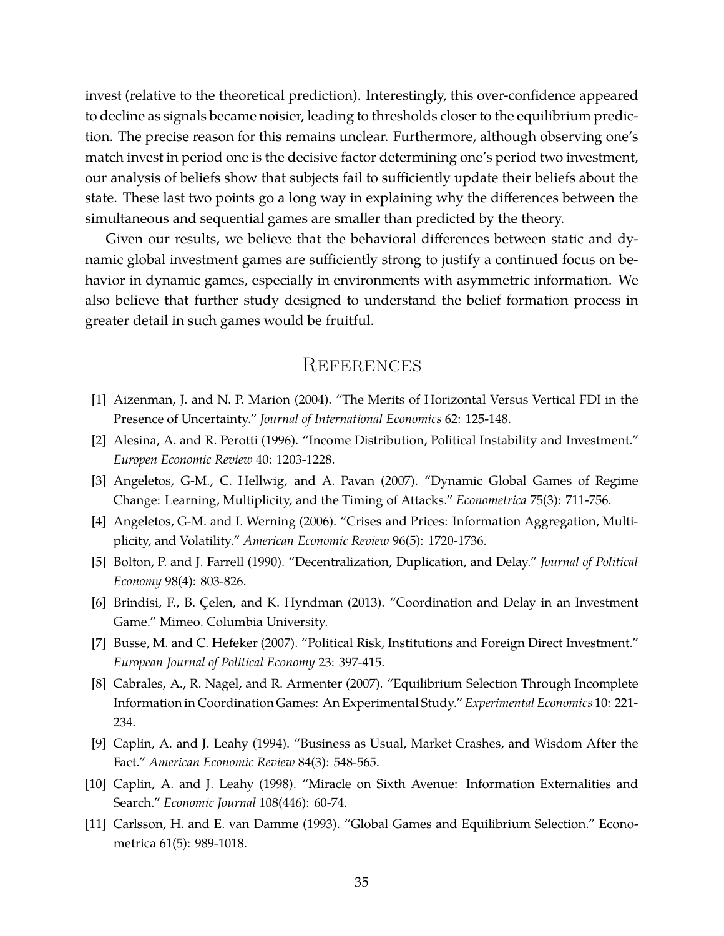invest (relative to the theoretical prediction). Interestingly, this over-confidence appeared to decline as signals became noisier, leading to thresholds closer to the equilibrium prediction. The precise reason for this remains unclear. Furthermore, although observing one's match invest in period one is the decisive factor determining one's period two investment, our analysis of beliefs show that subjects fail to sufficiently update their beliefs about the state. These last two points go a long way in explaining why the differences between the simultaneous and sequential games are smaller than predicted by the theory.

Given our results, we believe that the behavioral differences between static and dynamic global investment games are sufficiently strong to justify a continued focus on behavior in dynamic games, especially in environments with asymmetric information. We also believe that further study designed to understand the belief formation process in greater detail in such games would be fruitful.

# **REFERENCES**

- <span id="page-34-3"></span><span id="page-34-1"></span>[1] Aizenman, J. and N. P. Marion (2004). "The Merits of Horizontal Versus Vertical FDI in the Presence of Uncertainty." *Journal of International Economics* 62: 125-148.
- <span id="page-34-8"></span>[2] Alesina, A. and R. Perotti (1996). "Income Distribution, Political Instability and Investment." *Europen Economic Review* 40: 1203-1228.
- <span id="page-34-7"></span>[3] Angeletos, G-M., C. Hellwig, and A. Pavan (2007). "Dynamic Global Games of Regime Change: Learning, Multiplicity, and the Timing of Attacks." *Econometrica* 75(3): 711-756.
- <span id="page-34-4"></span>[4] Angeletos, G-M. and I. Werning (2006). "Crises and Prices: Information Aggregation, Multiplicity, and Volatility." *American Economic Review* 96(5): 1720-1736.
- <span id="page-34-5"></span>[5] Bolton, P. and J. Farrell (1990). "Decentralization, Duplication, and Delay." *Journal of Political Economy* 98(4): 803-826.
- <span id="page-34-2"></span>[6] Brindisi, F., B. Çelen, and K. Hyndman (2013). "Coordination and Delay in an Investment Game." Mimeo. Columbia University.
- <span id="page-34-10"></span>[7] Busse, M. and C. Hefeker (2007). "Political Risk, Institutions and Foreign Direct Investment." *European Journal of Political Economy* 23: 397-415.
- [8] Cabrales, A., R. Nagel, and R. Armenter (2007). "Equilibrium Selection Through Incomplete Information in Coordination Games: An Experimental Study." *Experimental Economics* 10: 221- 234.
- <span id="page-34-9"></span><span id="page-34-0"></span>[9] Caplin, A. and J. Leahy (1994). "Business as Usual, Market Crashes, and Wisdom After the Fact." *American Economic Review* 84(3): 548-565.
- <span id="page-34-6"></span>[10] Caplin, A. and J. Leahy (1998). "Miracle on Sixth Avenue: Information Externalities and Search." *Economic Journal* 108(446): 60-74.
- [11] Carlsson, H. and E. van Damme (1993). "Global Games and Equilibrium Selection." Econometrica 61(5): 989-1018.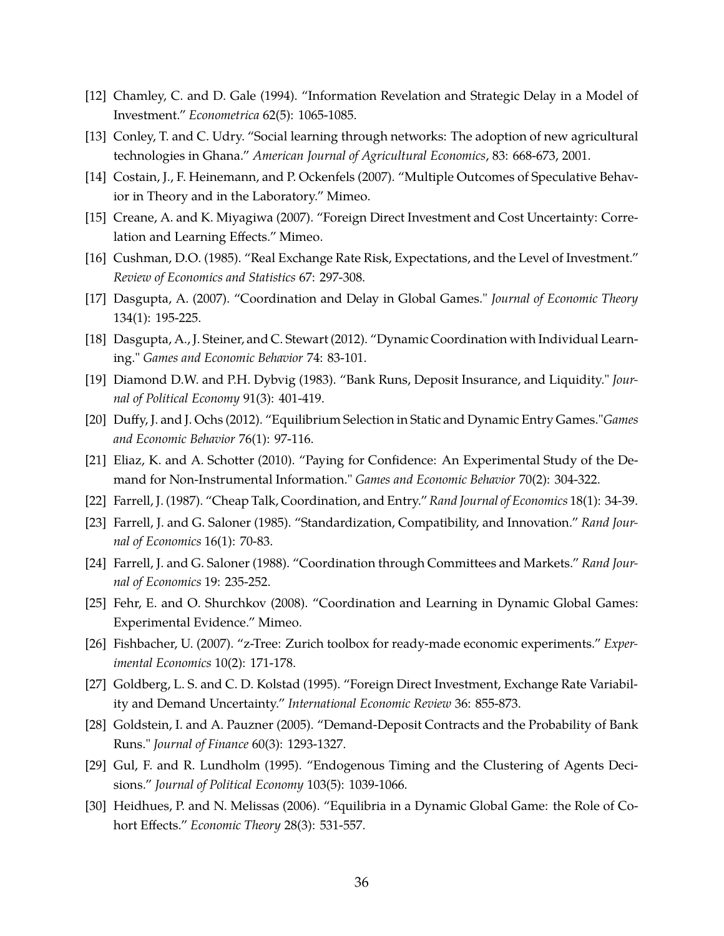- <span id="page-35-6"></span><span id="page-35-0"></span>[12] Chamley, C. and D. Gale (1994). "Information Revelation and Strategic Delay in a Model of Investment." *Econometrica* 62(5): 1065-1085.
- <span id="page-35-16"></span>[13] Conley, T. and C. Udry. "Social learning through networks: The adoption of new agricultural technologies in Ghana." *American Journal of Agricultural Economics*, 83: 668-673, 2001.
- <span id="page-35-5"></span>[14] Costain, J., F. Heinemann, and P. Ockenfels (2007). "Multiple Outcomes of Speculative Behavior in Theory and in the Laboratory." Mimeo.
- <span id="page-35-4"></span>[15] Creane, A. and K. Miyagiwa (2007). "Foreign Direct Investment and Cost Uncertainty: Correlation and Learning Effects." Mimeo.
- <span id="page-35-11"></span>[16] Cushman, D.O. (1985). "Real Exchange Rate Risk, Expectations, and the Level of Investment." *Review of Economics and Statistics* 67: 297-308.
- <span id="page-35-14"></span>[17] Dasgupta, A. (2007). "Coordination and Delay in Global Games." *Journal of Economic Theory* 134(1): 195-225.
- <span id="page-35-1"></span>[18] Dasgupta, A., J. Steiner, and C. Stewart (2012). "Dynamic Coordination with Individual Learning." *Games and Economic Behavior* 74: 83-101.
- <span id="page-35-13"></span>[19] Diamond D.W. and P.H. Dybvig (1983). "Bank Runs, Deposit Insurance, and Liquidity." *Journal of Political Economy* 91(3): 401-419.
- <span id="page-35-18"></span>[20] Duffy, J. and J. Ochs (2012). "Equilibrium Selection in Static and Dynamic Entry Games."*Games and Economic Behavior* 76(1): 97-116.
- <span id="page-35-8"></span>[21] Eliaz, K. and A. Schotter (2010). "Paying for Confidence: An Experimental Study of the Demand for Non-Instrumental Information." *Games and Economic Behavior* 70(2): 304-322.
- <span id="page-35-9"></span>[22] Farrell, J. (1987). "Cheap Talk, Coordination, and Entry."*Rand Journal of Economics* 18(1): 34-39.
- <span id="page-35-10"></span>[23] Farrell, J. and G. Saloner (1985). "Standardization, Compatibility, and Innovation." *Rand Journal of Economics* 16(1): 70-83.
- <span id="page-35-15"></span>[24] Farrell, J. and G. Saloner (1988). "Coordination through Committees and Markets." *Rand Journal of Economics* 19: 235-252.
- <span id="page-35-17"></span>[25] Fehr, E. and O. Shurchkov (2008). "Coordination and Learning in Dynamic Global Games: Experimental Evidence." Mimeo.
- <span id="page-35-3"></span>[26] Fishbacher, U. (2007). "z-Tree: Zurich toolbox for ready-made economic experiments." *Experimental Economics* 10(2): 171-178.
- <span id="page-35-2"></span>[27] Goldberg, L. S. and C. D. Kolstad (1995). "Foreign Direct Investment, Exchange Rate Variability and Demand Uncertainty." *International Economic Review* 36: 855-873.
- <span id="page-35-7"></span>[28] Goldstein, I. and A. Pauzner (2005). "Demand-Deposit Contracts and the Probability of Bank Runs." *Journal of Finance* 60(3): 1293-1327.
- <span id="page-35-12"></span>[29] Gul, F. and R. Lundholm (1995). "Endogenous Timing and the Clustering of Agents Decisions." *Journal of Political Economy* 103(5): 1039-1066.
- [30] Heidhues, P. and N. Melissas (2006). "Equilibria in a Dynamic Global Game: the Role of Cohort Effects." *Economic Theory* 28(3): 531-557.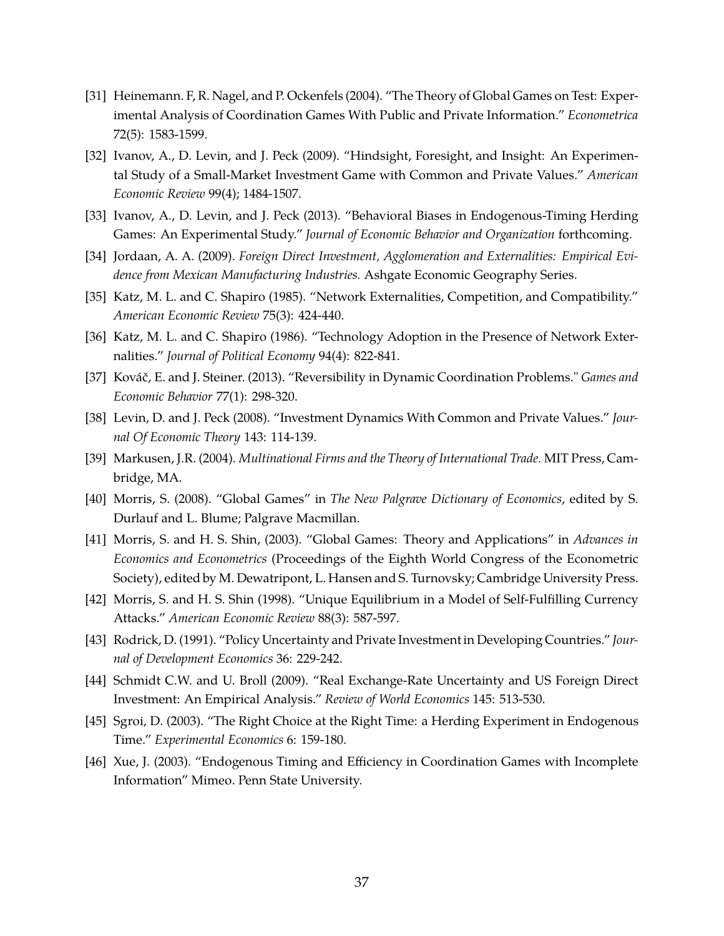- <span id="page-36-8"></span>[31] Heinemann. F, R. Nagel, and P. Ockenfels (2004). "The Theory of Global Games on Test: Experimental Analysis of Coordination Games With Public and Private Information." *Econometrica* 72(5): 1583-1599.
- <span id="page-36-14"></span>[32] Ivanov, A., D. Levin, and J. Peck (2009). "Hindsight, Foresight, and Insight: An Experimental Study of a Small-Market Investment Game with Common and Private Values." *American Economic Review* 99(4); 1484-1507.
- <span id="page-36-15"></span><span id="page-36-3"></span>[33] Ivanov, A., D. Levin, and J. Peck (2013). "Behavioral Biases in Endogenous-Timing Herding Games: An Experimental Study." *Journal of Economic Behavior and Organization* forthcoming.
- <span id="page-36-0"></span>[34] Jordaan, A. A. (2009). *Foreign Direct Investment, Agglomeration and Externalities: Empirical Evidence from Mexican Manufacturing Industries.* Ashgate Economic Geography Series.
- <span id="page-36-1"></span>[35] Katz, M. L. and C. Shapiro (1985). "Network Externalities, Competition, and Compatibility." *American Economic Review* 75(3): 424-440.
- <span id="page-36-11"></span>[36] Katz, M. L. and C. Shapiro (1986). "Technology Adoption in the Presence of Network Externalities." *Journal of Political Economy* 94(4): 822-841.
- <span id="page-36-12"></span>[37] Kováč, E. and J. Steiner. (2013). "Reversibility in Dynamic Coordination Problems." *Games and Economic Behavior* 77(1): 298-320.
- <span id="page-36-6"></span>[38] Levin, D. and J. Peck (2008). "Investment Dynamics With Common and Private Values." *Journal Of Economic Theory* 143: 114-139.
- <span id="page-36-10"></span>[39] Markusen, J.R. (2004). *Multinational Firms and the Theory of International Trade.* MIT Press, Cambridge, MA.
- <span id="page-36-9"></span>[40] Morris, S. (2008). "Global Games" in *The New Palgrave Dictionary of Economics*, edited by S. Durlauf and L. Blume; Palgrave Macmillan.
- [41] Morris, S. and H. S. Shin, (2003). "Global Games: Theory and Applications" in *Advances in Economics and Econometrics* (Proceedings of the Eighth World Congress of the Econometric Society), edited by M. Dewatripont, L. Hansen and S. Turnovsky; Cambridge University Press.
- <span id="page-36-4"></span><span id="page-36-2"></span>[42] Morris, S. and H. S. Shin (1998). "Unique Equilibrium in a Model of Self-Fulfilling Currency Attacks." *American Economic Review* 88(3): 587-597.
- <span id="page-36-5"></span>[43] Rodrick, D. (1991). "Policy Uncertainty and Private Investment in Developing Countries." *Journal of Development Economics* 36: 229-242.
- <span id="page-36-13"></span>[44] Schmidt C.W. and U. Broll (2009). "Real Exchange-Rate Uncertainty and US Foreign Direct Investment: An Empirical Analysis." *Review of World Economics* 145: 513-530.
- <span id="page-36-7"></span>[45] Sgroi, D. (2003). "The Right Choice at the Right Time: a Herding Experiment in Endogenous Time." *Experimental Economics* 6: 159-180.
- [46] Xue, J. (2003). "Endogenous Timing and Efficiency in Coordination Games with Incomplete Information" Mimeo. Penn State University.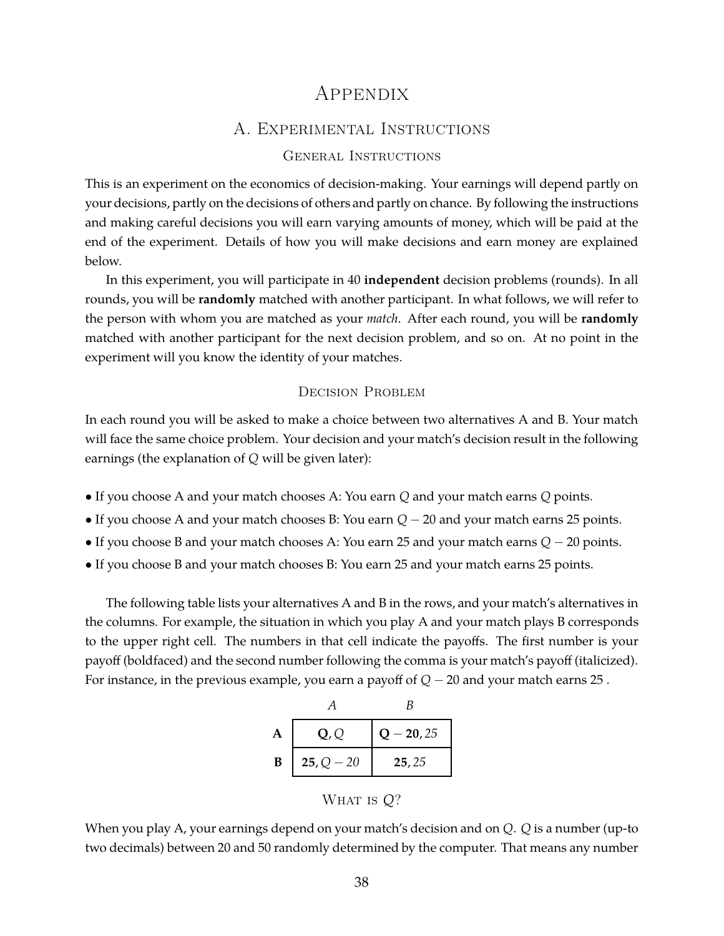# Appendix

## A. Experimental Instructions

### General Instructions

This is an experiment on the economics of decision-making. Your earnings will depend partly on your decisions, partly on the decisions of others and partly on chance. By following the instructions and making careful decisions you will earn varying amounts of money, which will be paid at the end of the experiment. Details of how you will make decisions and earn money are explained below.

In this experiment, you will participate in 40 **independent** decision problems (rounds). In all rounds, you will be **randomly** matched with another participant. In what follows, we will refer to the person with whom you are matched as your *match*. After each round, you will be **randomly** matched with another participant for the next decision problem, and so on. At no point in the experiment will you know the identity of your matches.

#### Decision Problem

In each round you will be asked to make a choice between two alternatives A and B. Your match will face the same choice problem. Your decision and your match's decision result in the following earnings (the explanation of *Q* will be given later):

- If you choose A and your match chooses A: You earn *Q* and your match earns *Q* points.
- If you choose A and your match chooses B: You earn *Q* − 20 and your match earns 25 points.
- If you choose B and your match chooses A: You earn 25 and your match earns *Q* − 20 points.
- If you choose B and your match chooses B: You earn 25 and your match earns 25 points.

The following table lists your alternatives A and B in the rows, and your match's alternatives in the columns. For example, the situation in which you play A and your match plays B corresponds to the upper right cell. The numbers in that cell indicate the payoffs. The first number is your payoff (boldfaced) and the second number following the comma is your match's payoff (italicized). For instance, in the previous example, you earn a payoff of *Q* − 20 and your match earns 25 .

| $Q - 20, 25$<br>Q, Q        |  |
|-----------------------------|--|
| $25, Q - 20$<br>B<br>25, 25 |  |

WHAT IS  $Q$ ?

When you play A, your earnings depend on your match's decision and on *Q*. *Q* is a number (up-to two decimals) between 20 and 50 randomly determined by the computer. That means any number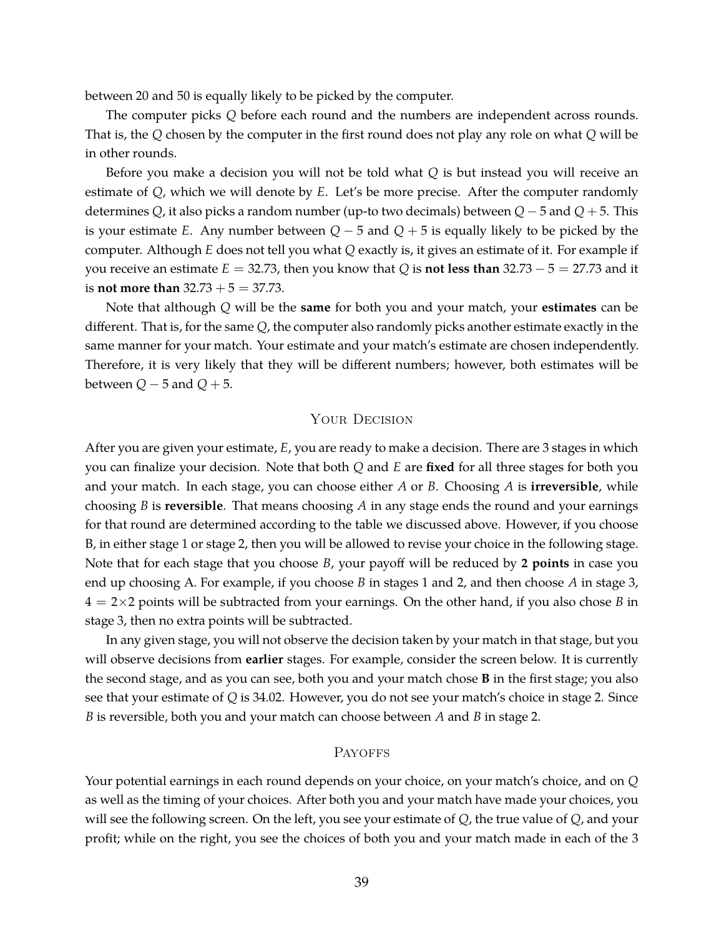between 20 and 50 is equally likely to be picked by the computer.

The computer picks *Q* before each round and the numbers are independent across rounds. That is, the *Q* chosen by the computer in the first round does not play any role on what *Q* will be in other rounds.

Before you make a decision you will not be told what *Q* is but instead you will receive an estimate of *Q*, which we will denote by *E*. Let's be more precise. After the computer randomly determines *Q*, it also picks a random number (up-to two decimals) between *Q* − 5 and *Q* + 5. This is your estimate *E*. Any number between *Q* − 5 and *Q* + 5 is equally likely to be picked by the computer. Although *E* does not tell you what *Q* exactly is, it gives an estimate of it. For example if you receive an estimate  $E = 32.73$ , then you know that *Q* is **not less than**  $32.73 - 5 = 27.73$  and it is **not more than**  $32.73 + 5 = 37.73$ .

Note that although *Q* will be the **same** for both you and your match, your **estimates** can be different. That is, for the same *Q*, the computer also randomly picks another estimate exactly in the same manner for your match. Your estimate and your match's estimate are chosen independently. Therefore, it is very likely that they will be different numbers; however, both estimates will be between  $Q - 5$  and  $Q + 5$ .

#### YOUR DECISION

After you are given your estimate, *E*, you are ready to make a decision. There are 3 stages in which you can finalize your decision. Note that both *Q* and *E* are **fixed** for all three stages for both you and your match. In each stage, you can choose either *A* or *B*. Choosing *A* is **irreversible**, while choosing *B* is **reversible**. That means choosing *A* in any stage ends the round and your earnings for that round are determined according to the table we discussed above. However, if you choose B, in either stage 1 or stage 2, then you will be allowed to revise your choice in the following stage. Note that for each stage that you choose *B*, your payoff will be reduced by **2 points** in case you end up choosing A. For example, if you choose *B* in stages 1 and 2, and then choose *A* in stage 3, 4 = 2×2 points will be subtracted from your earnings. On the other hand, if you also chose *B* in stage 3, then no extra points will be subtracted.

In any given stage, you will not observe the decision taken by your match in that stage, but you will observe decisions from **earlier** stages. For example, consider the screen below. It is currently the second stage, and as you can see, both you and your match chose **B** in the first stage; you also see that your estimate of *Q* is 34.02. However, you do not see your match's choice in stage 2. Since *B* is reversible, both you and your match can choose between *A* and *B* in stage 2.

#### **PAYOFFS**

Your potential earnings in each round depends on your choice, on your match's choice, and on *Q* as well as the timing of your choices. After both you and your match have made your choices, you will see the following screen. On the left, you see your estimate of *Q*, the true value of *Q*, and your profit; while on the right, you see the choices of both you and your match made in each of the 3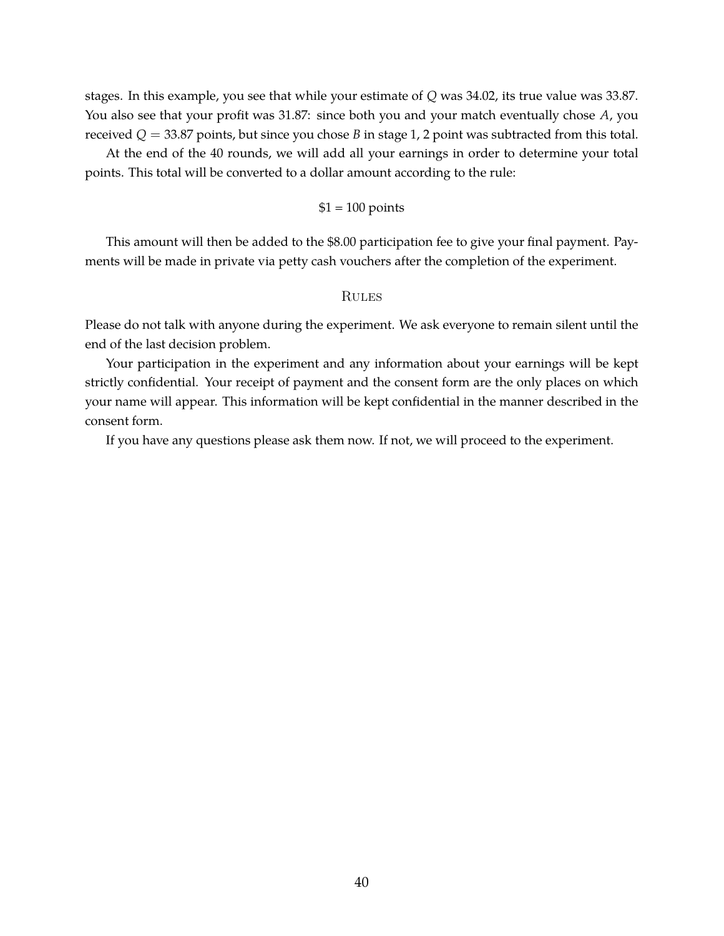stages. In this example, you see that while your estimate of *Q* was 34.02, its true value was 33.87. You also see that your profit was 31.87: since both you and your match eventually chose *A*, you received  $Q = 33.87$  points, but since you chose *B* in stage 1, 2 point was subtracted from this total.

At the end of the 40 rounds, we will add all your earnings in order to determine your total points. This total will be converted to a dollar amount according to the rule:

### $$1 = 100$  points

This amount will then be added to the \$8.00 participation fee to give your final payment. Payments will be made in private via petty cash vouchers after the completion of the experiment.

#### **RULES**

Please do not talk with anyone during the experiment. We ask everyone to remain silent until the end of the last decision problem.

Your participation in the experiment and any information about your earnings will be kept strictly confidential. Your receipt of payment and the consent form are the only places on which your name will appear. This information will be kept confidential in the manner described in the consent form.

If you have any questions please ask them now. If not, we will proceed to the experiment.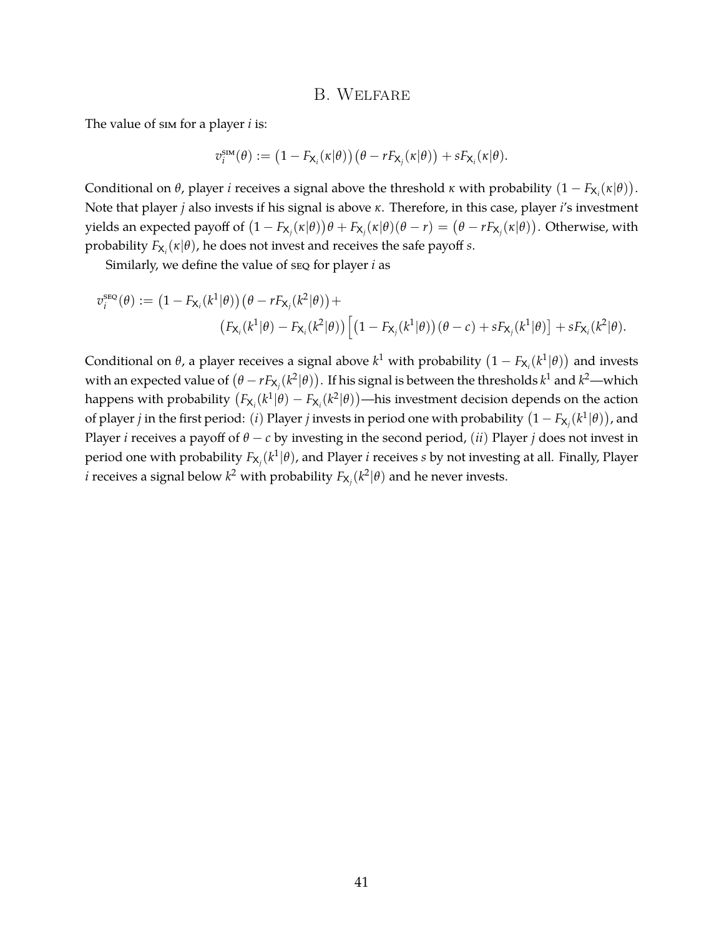#### B. Welfare

The value of sim for a player *i* is:

$$
v_i^{\text{sim}}(\theta) := \left(1 - F_{\mathsf{X}_i}(\kappa|\theta)\right) \left(\theta - r F_{\mathsf{X}_j}(\kappa|\theta)\right) + s F_{\mathsf{X}_i}(\kappa|\theta).
$$

Conditional on  $\theta$ , player *i* receives a signal above the threshold *κ* with probability  $(1 - F_{\mathsf{X}_i}(\kappa|\theta)).$ Note that player *j* also invests if his signal is above *κ*. Therefore, in this case, player *i*'s investment yields an expected payoff of  $(1-F_{X_j}(\kappa|\theta))\theta + F_{X_j}(\kappa|\theta)(\theta-r)=(\theta-rF_{X_j}(\kappa|\theta)).$  Otherwise, with probability  $F_{\mathsf{X}_i}(\kappa|\theta)$ , he does not invest and receives the safe payoff *s*.

Similarly, we define the value of seq for player *i* as

$$
v_i^{\text{src}}(\theta) := \left(1 - F_{\mathsf{X}_i}(k^1|\theta)\right)(\theta - rF_{\mathsf{X}_j}(k^2|\theta)) +
$$
  

$$
\left(F_{\mathsf{X}_i}(k^1|\theta) - F_{\mathsf{X}_i}(k^2|\theta)\right)\left[\left(1 - F_{\mathsf{X}_j}(k^1|\theta)\right)(\theta - c) + sF_{\mathsf{X}_j}(k^1|\theta)\right] + sF_{\mathsf{X}_i}(k^2|\theta).
$$

Conditional on  $\theta$ , a player receives a signal above  $k^1$  with probability  $\left(1 - F_{\mathsf{X}_i}(k^1|\theta)\right)$  and invests with an expected value of  $(\theta-rF_{\mathsf{X}_j}(k^2|\theta))$ . If his signal is between the thresholds  $k^1$  and  $k^2$ —which happens with probability  $(F_{X_i}(k^1|\theta) - F_{X_i}(k^2|\theta))$ —his investment decision depends on the action of player *j* in the first period: (*i*) Player *j* invests in period one with probability  $(1-F_{\mathsf{X}_j}(k^1|\theta))$ , and Player *i* receives a payoff of  $\theta$  − *c* by investing in the second period, (*ii*) Player *j* does not invest in period one with probability  $F_{\mathsf{X}_j}(k^1|\theta)$ , and Player  $i$  receives  $s$  by not investing at all. Finally, Player  $i$  receives a signal below  $k^2$  with probability  $F_{\mathsf{X}_j}(k^2|\theta)$  and he never invests.